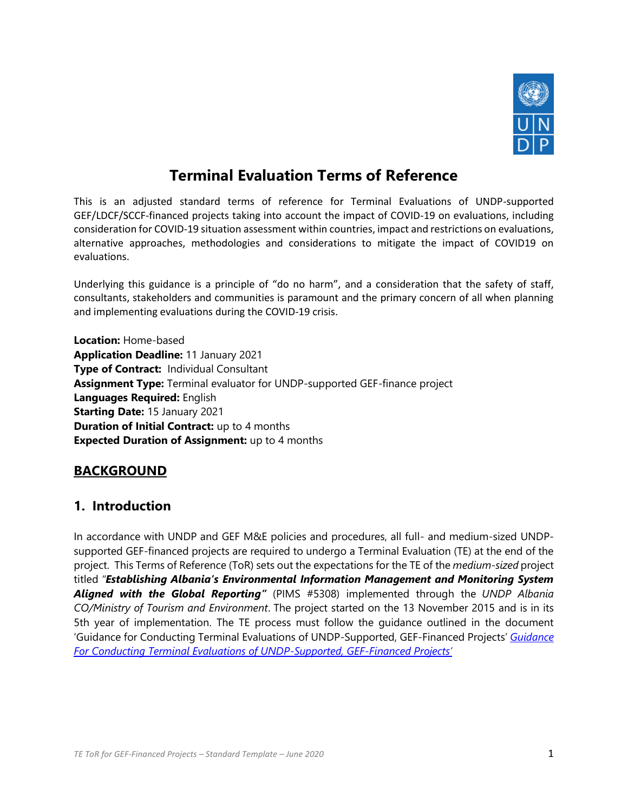

# **Terminal Evaluation Terms of Reference**

This is an adjusted standard terms of reference for Terminal Evaluations of UNDP-supported GEF/LDCF/SCCF-financed projects taking into account the impact of COVID-19 on evaluations, including consideration for COVID-19 situation assessment within countries, impact and restrictions on evaluations, alternative approaches, methodologies and considerations to mitigate the impact of COVID19 on evaluations.

Underlying this guidance is a principle of "do no harm", and a consideration that the safety of staff, consultants, stakeholders and communities is paramount and the primary concern of all when planning and implementing evaluations during the COVID-19 crisis.

**Location:** Home-based **Application Deadline:** 11 January 2021 **Type of Contract:** Individual Consultant **Assignment Type:** Terminal evaluator for UNDP-supported GEF-finance project **Languages Required:** English **Starting Date:** 15 January 2021 **Duration of Initial Contract:** up to 4 months **Expected Duration of Assignment:** up to 4 months

## **BACKGROUND**

## **1. Introduction**

In accordance with UNDP and GEF M&E policies and procedures, all full- and medium-sized UNDPsupported GEF-financed projects are required to undergo a Terminal Evaluation (TE) at the end of the project. This Terms of Reference (ToR) sets out the expectations for the TE of the *medium-sized* project titled *"Establishing Albania's Environmental Information Management and Monitoring System Aligned with the Global Reporting"* (PIMS #5308) implemented through the *UNDP Albania CO/Ministry of Tourism and Environment*. The project started on the 13 November 2015 and is in its 5th year of implementation. The TE process must follow the guidance outlined in the document 'Guidance for Conducting Terminal Evaluations of UNDP-Supported, GEF-Financed Projects' *[Guidance](http://web.undp.org/evaluation/guideline/documents/GEF/TE_GuidanceforUNDP-supportedGEF-financedProjects.pdf)  [For Conducting Terminal Evaluations of UNDP-Supported, GEF-](http://web.undp.org/evaluation/guideline/documents/GEF/TE_GuidanceforUNDP-supportedGEF-financedProjects.pdf)Financed Projects'*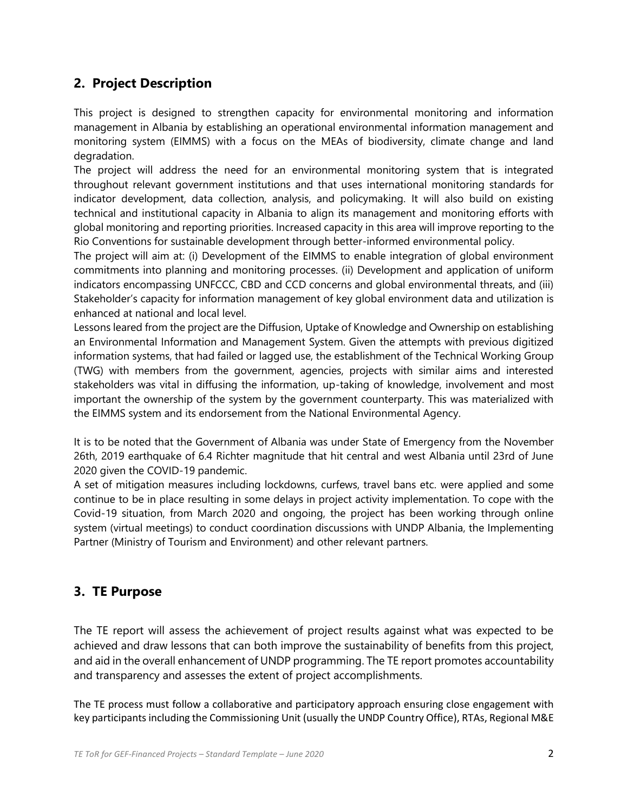## **2. Project Description**

This project is designed to strengthen capacity for environmental monitoring and information management in Albania by establishing an operational environmental information management and monitoring system (EIMMS) with a focus on the MEAs of biodiversity, climate change and land degradation.

The project will address the need for an environmental monitoring system that is integrated throughout relevant government institutions and that uses international monitoring standards for indicator development, data collection, analysis, and policymaking. It will also build on existing technical and institutional capacity in Albania to align its management and monitoring efforts with global monitoring and reporting priorities. Increased capacity in this area will improve reporting to the Rio Conventions for sustainable development through better-informed environmental policy.

The project will aim at: (i) Development of the EIMMS to enable integration of global environment commitments into planning and monitoring processes. (ii) Development and application of uniform indicators encompassing UNFCCC, CBD and CCD concerns and global environmental threats, and (iii) Stakeholder's capacity for information management of key global environment data and utilization is enhanced at national and local level.

Lessons leared from the project are the Diffusion, Uptake of Knowledge and Ownership on establishing an Environmental Information and Management System. Given the attempts with previous digitized information systems, that had failed or lagged use, the establishment of the Technical Working Group (TWG) with members from the government, agencies, projects with similar aims and interested stakeholders was vital in diffusing the information, up-taking of knowledge, involvement and most important the ownership of the system by the government counterparty. This was materialized with the EIMMS system and its endorsement from the National Environmental Agency.

It is to be noted that the Government of Albania was under State of Emergency from the November 26th, 2019 earthquake of 6.4 Richter magnitude that hit central and west Albania until 23rd of June 2020 given the COVID-19 pandemic.

A set of mitigation measures including lockdowns, curfews, travel bans etc. were applied and some continue to be in place resulting in some delays in project activity implementation. To cope with the Covid-19 situation, from March 2020 and ongoing, the project has been working through online system (virtual meetings) to conduct coordination discussions with UNDP Albania, the Implementing Partner (Ministry of Tourism and Environment) and other relevant partners.

#### **3. TE Purpose**

The TE report will assess the achievement of project results against what was expected to be achieved and draw lessons that can both improve the sustainability of benefits from this project, and aid in the overall enhancement of UNDP programming. The TE report promotes accountability and transparency and assesses the extent of project accomplishments.

The TE process must follow a collaborative and participatory approach ensuring close engagement with key participants including the Commissioning Unit (usually the UNDP Country Office), RTAs, Regional M&E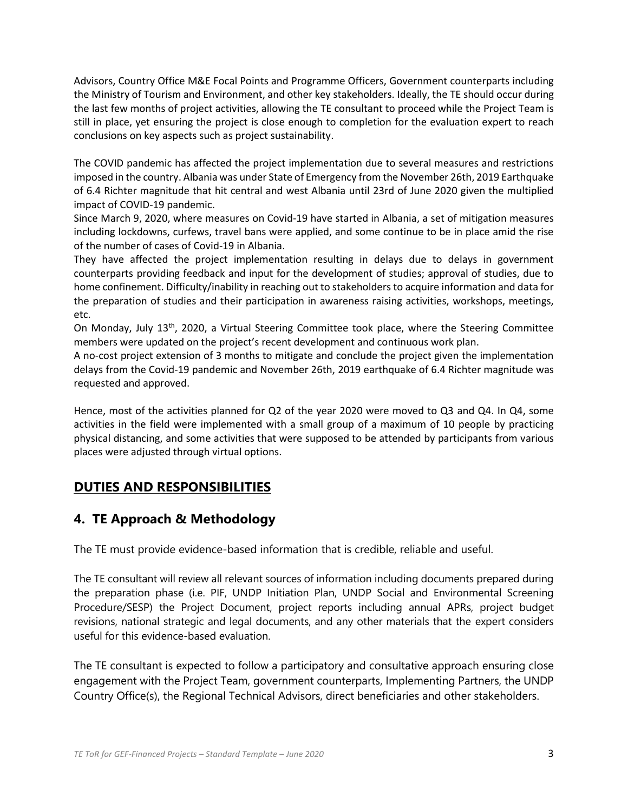Advisors, Country Office M&E Focal Points and Programme Officers, Government counterparts including the Ministry of Tourism and Environment, and other key stakeholders. Ideally, the TE should occur during the last few months of project activities, allowing the TE consultant to proceed while the Project Team is still in place, yet ensuring the project is close enough to completion for the evaluation expert to reach conclusions on key aspects such as project sustainability.

The COVID pandemic has affected the project implementation due to several measures and restrictions imposed in the country. Albania was under State of Emergency from the November 26th, 2019 Earthquake of 6.4 Richter magnitude that hit central and west Albania until 23rd of June 2020 given the multiplied impact of COVID-19 pandemic.

Since March 9, 2020, where measures on Covid-19 have started in Albania, a set of mitigation measures including lockdowns, curfews, travel bans were applied, and some continue to be in place amid the rise of the number of cases of Covid-19 in Albania.

They have affected the project implementation resulting in delays due to delays in government counterparts providing feedback and input for the development of studies; approval of studies, due to home confinement. Difficulty/inability in reaching out to stakeholders to acquire information and data for the preparation of studies and their participation in awareness raising activities, workshops, meetings, etc.

On Monday, July 13th, 2020, a Virtual Steering Committee took place, where the Steering Committee members were updated on the project's recent development and continuous work plan.

A no-cost project extension of 3 months to mitigate and conclude the project given the implementation delays from the Covid-19 pandemic and November 26th, 2019 earthquake of 6.4 Richter magnitude was requested and approved.

Hence, most of the activities planned for Q2 of the year 2020 were moved to Q3 and Q4. In Q4, some activities in the field were implemented with a small group of a maximum of 10 people by practicing physical distancing, and some activities that were supposed to be attended by participants from various places were adjusted through virtual options.

## **DUTIES AND RESPONSIBILITIES**

## **4. TE Approach & Methodology**

The TE must provide evidence-based information that is credible, reliable and useful.

The TE consultant will review all relevant sources of information including documents prepared during the preparation phase (i.e. PIF, UNDP Initiation Plan, UNDP Social and Environmental Screening Procedure/SESP) the Project Document, project reports including annual APRs, project budget revisions, national strategic and legal documents, and any other materials that the expert considers useful for this evidence-based evaluation.

The TE consultant is expected to follow a participatory and consultative approach ensuring close engagement with the Project Team, government counterparts, Implementing Partners, the UNDP Country Office(s), the Regional Technical Advisors, direct beneficiaries and other stakeholders.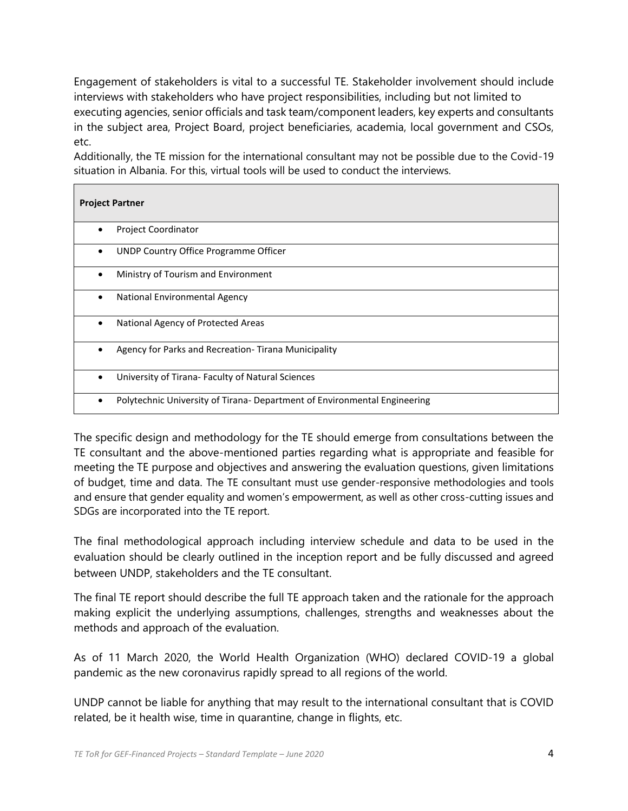Engagement of stakeholders is vital to a successful TE. Stakeholder involvement should include interviews with stakeholders who have project responsibilities, including but not limited to executing agencies, senior officials and task team/component leaders, key experts and consultants in the subject area, Project Board, project beneficiaries, academia, local government and CSOs, etc.

Additionally, the TE mission for the international consultant may not be possible due to the Covid-19 situation in Albania. For this, virtual tools will be used to conduct the interviews.

| <b>Project Partner</b>                                                    |
|---------------------------------------------------------------------------|
| <b>Project Coordinator</b>                                                |
| UNDP Country Office Programme Officer                                     |
| Ministry of Tourism and Environment                                       |
| National Environmental Agency                                             |
| National Agency of Protected Areas                                        |
| Agency for Parks and Recreation-Tirana Municipality                       |
| University of Tirana-Faculty of Natural Sciences                          |
| Polytechnic University of Tirana- Department of Environmental Engineering |

The specific design and methodology for the TE should emerge from consultations between the TE consultant and the above-mentioned parties regarding what is appropriate and feasible for meeting the TE purpose and objectives and answering the evaluation questions, given limitations of budget, time and data. The TE consultant must use gender-responsive methodologies and tools and ensure that gender equality and women's empowerment, as well as other cross-cutting issues and SDGs are incorporated into the TE report.

The final methodological approach including interview schedule and data to be used in the evaluation should be clearly outlined in the inception report and be fully discussed and agreed between UNDP, stakeholders and the TE consultant.

The final TE report should describe the full TE approach taken and the rationale for the approach making explicit the underlying assumptions, challenges, strengths and weaknesses about the methods and approach of the evaluation.

As of 11 March 2020, the World Health Organization (WHO) declared COVID-19 a global pandemic as the new coronavirus rapidly spread to all regions of the world.

UNDP cannot be liable for anything that may result to the international consultant that is COVID related, be it health wise, time in quarantine, change in flights, etc.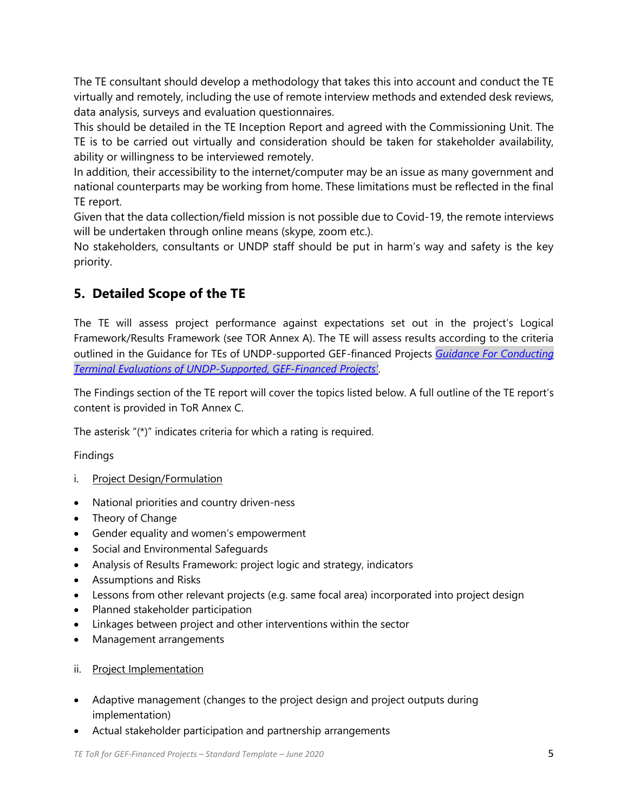The TE consultant should develop a methodology that takes this into account and conduct the TE virtually and remotely, including the use of remote interview methods and extended desk reviews, data analysis, surveys and evaluation questionnaires.

This should be detailed in the TE Inception Report and agreed with the Commissioning Unit. The TE is to be carried out virtually and consideration should be taken for stakeholder availability, ability or willingness to be interviewed remotely.

In addition, their accessibility to the internet/computer may be an issue as many government and national counterparts may be working from home. These limitations must be reflected in the final TE report.

Given that the data collection/field mission is not possible due to Covid-19, the remote interviews will be undertaken through online means (skype, zoom etc.).

No stakeholders, consultants or UNDP staff should be put in harm's way and safety is the key priority.

## **5. Detailed Scope of the TE**

The TE will assess project performance against expectations set out in the project's Logical Framework/Results Framework (see TOR Annex A). The TE will assess results according to the criteria outlined in the Guidance for TEs of UNDP-supported GEF-financed Projects *[Guidance For Conducting](http://web.undp.org/evaluation/guideline/documents/GEF/TE_GuidanceforUNDP-supportedGEF-financedProjects.pdf)  [Terminal Evaluations of UNDP-Supported, GEF-](http://web.undp.org/evaluation/guideline/documents/GEF/TE_GuidanceforUNDP-supportedGEF-financedProjects.pdf)Financed Projects'*.

The Findings section of the TE report will cover the topics listed below. A full outline of the TE report's content is provided in ToR Annex C.

The asterisk "(\*)" indicates criteria for which a rating is required.

Findings

- i. Project Design/Formulation
- National priorities and country driven-ness
- Theory of Change
- Gender equality and women's empowerment
- Social and Environmental Safeguards
- Analysis of Results Framework: project logic and strategy, indicators
- Assumptions and Risks
- Lessons from other relevant projects (e.g. same focal area) incorporated into project design
- Planned stakeholder participation
- Linkages between project and other interventions within the sector
- Management arrangements
- ii. Project Implementation
- Adaptive management (changes to the project design and project outputs during implementation)
- Actual stakeholder participation and partnership arrangements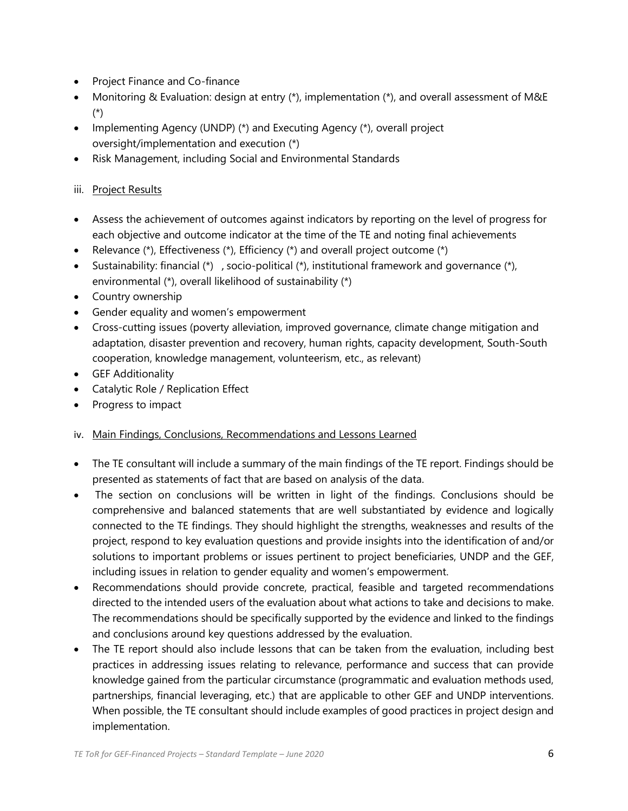- Project Finance and Co-finance
- Monitoring & Evaluation: design at entry  $(*)$ , implementation  $(*)$ , and overall assessment of M&E (\*)
- Implementing Agency (UNDP) (\*) and Executing Agency (\*), overall project oversight/implementation and execution (\*)
- Risk Management, including Social and Environmental Standards

#### iii. Project Results

- Assess the achievement of outcomes against indicators by reporting on the level of progress for each objective and outcome indicator at the time of the TE and noting final achievements
- Relevance  $(*)$ , Effectiveness  $(*)$ , Efficiency  $(*)$  and overall project outcome  $(*)$
- Sustainability: financial  $(*)$ , socio-political  $(*)$ , institutional framework and governance  $(*)$ , environmental (\*), overall likelihood of sustainability (\*)
- Country ownership
- Gender equality and women's empowerment
- Cross-cutting issues (poverty alleviation, improved governance, climate change mitigation and adaptation, disaster prevention and recovery, human rights, capacity development, South-South cooperation, knowledge management, volunteerism, etc., as relevant)
- GEF Additionality
- Catalytic Role / Replication Effect
- Progress to impact

#### iv. Main Findings, Conclusions, Recommendations and Lessons Learned

- The TE consultant will include a summary of the main findings of the TE report. Findings should be presented as statements of fact that are based on analysis of the data.
- The section on conclusions will be written in light of the findings. Conclusions should be comprehensive and balanced statements that are well substantiated by evidence and logically connected to the TE findings. They should highlight the strengths, weaknesses and results of the project, respond to key evaluation questions and provide insights into the identification of and/or solutions to important problems or issues pertinent to project beneficiaries, UNDP and the GEF, including issues in relation to gender equality and women's empowerment.
- Recommendations should provide concrete, practical, feasible and targeted recommendations directed to the intended users of the evaluation about what actions to take and decisions to make. The recommendations should be specifically supported by the evidence and linked to the findings and conclusions around key questions addressed by the evaluation.
- The TE report should also include lessons that can be taken from the evaluation, including best practices in addressing issues relating to relevance, performance and success that can provide knowledge gained from the particular circumstance (programmatic and evaluation methods used, partnerships, financial leveraging, etc.) that are applicable to other GEF and UNDP interventions. When possible, the TE consultant should include examples of good practices in project design and implementation.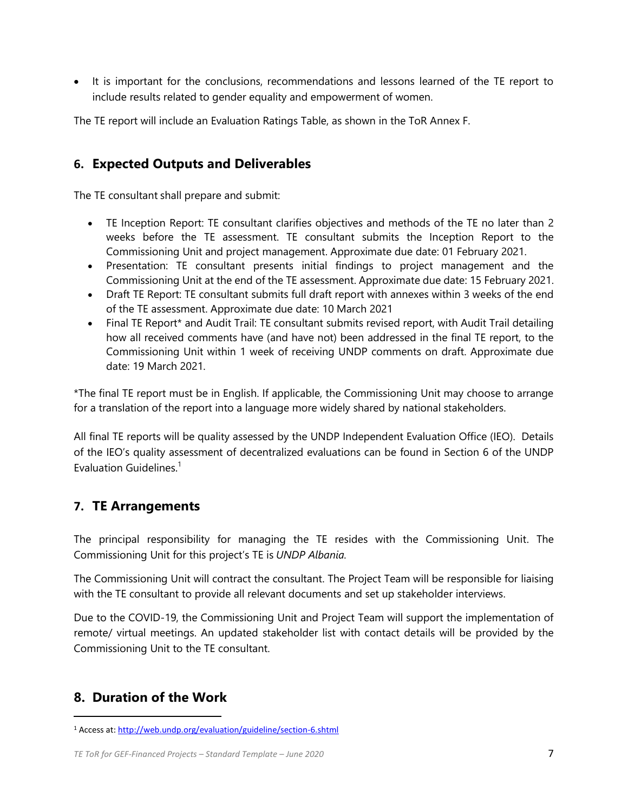• It is important for the conclusions, recommendations and lessons learned of the TE report to include results related to gender equality and empowerment of women.

The TE report will include an Evaluation Ratings Table, as shown in the ToR Annex F.

#### **6. Expected Outputs and Deliverables**

The TE consultant shall prepare and submit:

- TE Inception Report: TE consultant clarifies objectives and methods of the TE no later than 2 weeks before the TE assessment. TE consultant submits the Inception Report to the Commissioning Unit and project management. Approximate due date: 01 February 2021.
- Presentation: TE consultant presents initial findings to project management and the Commissioning Unit at the end of the TE assessment. Approximate due date: 15 February 2021.
- Draft TE Report: TE consultant submits full draft report with annexes within 3 weeks of the end of the TE assessment. Approximate due date: 10 March 2021
- Final TE Report\* and Audit Trail: TE consultant submits revised report, with Audit Trail detailing how all received comments have (and have not) been addressed in the final TE report, to the Commissioning Unit within 1 week of receiving UNDP comments on draft. Approximate due date: 19 March 2021.

\*The final TE report must be in English. If applicable, the Commissioning Unit may choose to arrange for a translation of the report into a language more widely shared by national stakeholders.

All final TE reports will be quality assessed by the UNDP Independent Evaluation Office (IEO). Details of the IEO's quality assessment of decentralized evaluations can be found in Section 6 of the UNDP Evaluation Guidelines. 1

#### **7. TE Arrangements**

The principal responsibility for managing the TE resides with the Commissioning Unit. The Commissioning Unit for this project's TE is *UNDP Albania.* 

The Commissioning Unit will contract the consultant. The Project Team will be responsible for liaising with the TE consultant to provide all relevant documents and set up stakeholder interviews.

Due to the COVID-19, the Commissioning Unit and Project Team will support the implementation of remote/ virtual meetings. An updated stakeholder list with contact details will be provided by the Commissioning Unit to the TE consultant.

## **8. Duration of the Work**

<sup>1</sup> Access at: <http://web.undp.org/evaluation/guideline/section-6.shtml>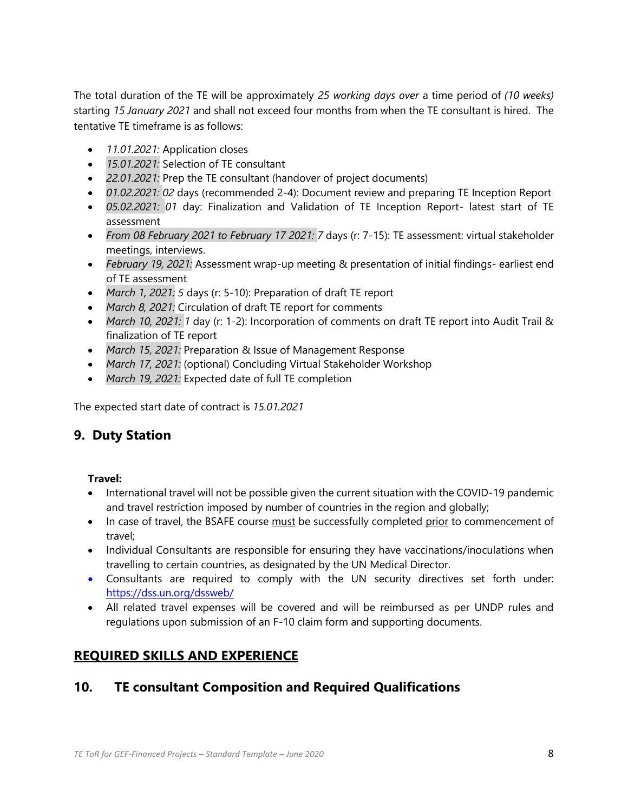The total duration of the TE will be approximately *25 working days over* a time period of *(10 weeks)* starting *15 January 2021* and shall not exceed four months from when the TE consultant is hired. The tentative TE timeframe is as follows:

- *11.01.2021:* Application closes
- *15.01.2021:* Selection of TE consultant
- *22.01.2021:* Prep the TE consultant (handover of project documents)
- *01.02.2021: 02* days (recommended 2-4): Document review and preparing TE Inception Report
- *05.02.2021: 01* day: Finalization and Validation of TE Inception Report- latest start of TE assessment
- *From 08 February 2021 to February 17 2021: 7* days (r: 7-15): TE assessment: virtual stakeholder meetings, interviews.
- *February 19, 2021:* Assessment wrap-up meeting & presentation of initial findings- earliest end of TE assessment
- *March 1, 2021: 5* days (r: 5-10): Preparation of draft TE report
- *March 8, 2021:* Circulation of draft TE report for comments
- *March 10, 2021: 1* day (r: 1-2): Incorporation of comments on draft TE report into Audit Trail & finalization of TE report
- *March 15, 2021:* Preparation & Issue of Management Response
- *March 17, 2021:* (optional) Concluding Virtual Stakeholder Workshop
- *March 19, 2021:* Expected date of full TE completion

The expected start date of contract is *15.01.2021*

#### **9. Duty Station**

#### **Travel:**

- International travel will not be possible given the current situation with the COVID-19 pandemic and travel restriction imposed by number of countries in the region and globally;
- In case of travel, the BSAFE course must be successfully completed prior to commencement of travel;
- Individual Consultants are responsible for ensuring they have vaccinations/inoculations when travelling to certain countries, as designated by the UN Medical Director.
- Consultants are required to comply with the UN security directives set forth under: <https://dss.un.org/dssweb/>
- All related travel expenses will be covered and will be reimbursed as per UNDP rules and regulations upon submission of an F-10 claim form and supporting documents.

#### **REQUIRED SKILLS AND EXPERIENCE**

## **10. TE consultant Composition and Required Qualifications**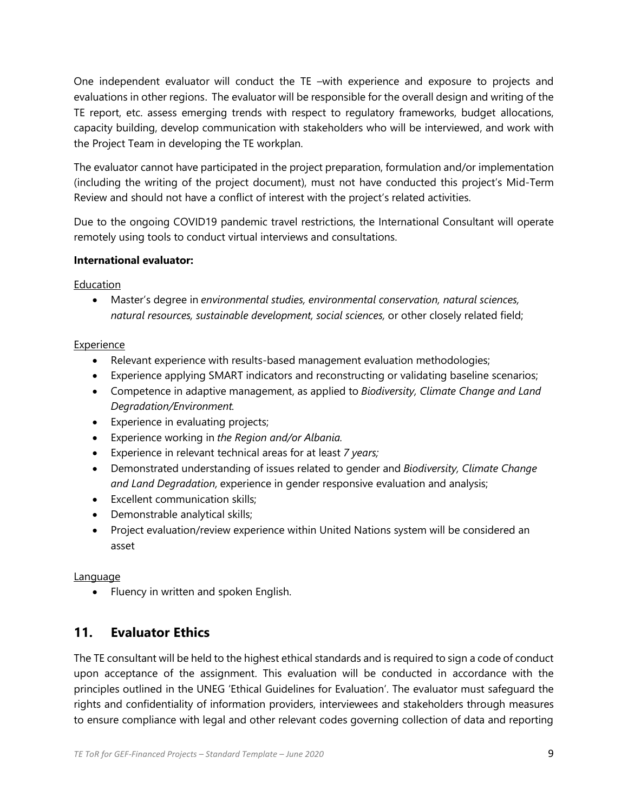One independent evaluator will conduct the TE –with experience and exposure to projects and evaluations in other regions. The evaluator will be responsible for the overall design and writing of the TE report, etc. assess emerging trends with respect to regulatory frameworks, budget allocations, capacity building, develop communication with stakeholders who will be interviewed, and work with the Project Team in developing the TE workplan.

The evaluator cannot have participated in the project preparation, formulation and/or implementation (including the writing of the project document), must not have conducted this project's Mid-Term Review and should not have a conflict of interest with the project's related activities.

Due to the ongoing COVID19 pandemic travel restrictions, the International Consultant will operate remotely using tools to conduct virtual interviews and consultations.

#### **International evaluator:**

#### **Education**

• Master's degree in *environmental studies, environmental conservation, natural sciences, natural resources, sustainable development, social sciences,* or other closely related field;

#### Experience

- Relevant experience with results-based management evaluation methodologies;
- Experience applying SMART indicators and reconstructing or validating baseline scenarios;
- Competence in adaptive management, as applied to *Biodiversity, Climate Change and Land Degradation/Environment.*
- Experience in evaluating projects;
- Experience working in *the Region and/or Albania.*
- Experience in relevant technical areas for at least *7 years;*
- Demonstrated understanding of issues related to gender and *Biodiversity, Climate Change and Land Degradation,* experience in gender responsive evaluation and analysis;
- Excellent communication skills;
- Demonstrable analytical skills;
- Project evaluation/review experience within United Nations system will be considered an asset

#### Language

• Fluency in written and spoken English.

## **11. Evaluator Ethics**

The TE consultant will be held to the highest ethical standards and is required to sign a code of conduct upon acceptance of the assignment. This evaluation will be conducted in accordance with the principles outlined in the UNEG 'Ethical Guidelines for Evaluation'. The evaluator must safeguard the rights and confidentiality of information providers, interviewees and stakeholders through measures to ensure compliance with legal and other relevant codes governing collection of data and reporting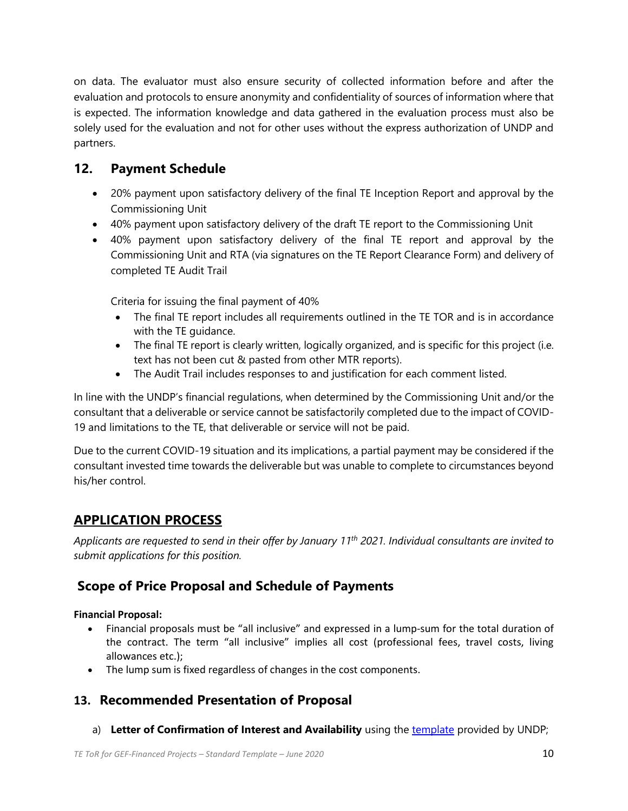on data. The evaluator must also ensure security of collected information before and after the evaluation and protocols to ensure anonymity and confidentiality of sources of information where that is expected. The information knowledge and data gathered in the evaluation process must also be solely used for the evaluation and not for other uses without the express authorization of UNDP and partners.

## **12. Payment Schedule**

- 20% payment upon satisfactory delivery of the final TE Inception Report and approval by the Commissioning Unit
- 40% payment upon satisfactory delivery of the draft TE report to the Commissioning Unit
- 40% payment upon satisfactory delivery of the final TE report and approval by the Commissioning Unit and RTA (via signatures on the TE Report Clearance Form) and delivery of completed TE Audit Trail

Criteria for issuing the final payment of 40%

- The final TE report includes all requirements outlined in the TE TOR and is in accordance with the TE guidance.
- The final TE report is clearly written, logically organized, and is specific for this project (i.e. text has not been cut & pasted from other MTR reports).
- The Audit Trail includes responses to and justification for each comment listed.

In line with the UNDP's financial regulations, when determined by the Commissioning Unit and/or the consultant that a deliverable or service cannot be satisfactorily completed due to the impact of COVID-19 and limitations to the TE, that deliverable or service will not be paid.

Due to the current COVID-19 situation and its implications, a partial payment may be considered if the consultant invested time towards the deliverable but was unable to complete to circumstances beyond his/her control.

## **APPLICATION PROCESS**

*Applicants are requested to send in their offer by January 11th 2021. Individual consultants are invited to submit applications for this position.*

## **Scope of Price Proposal and Schedule of Payments**

#### **Financial Proposal:**

- Financial proposals must be "all inclusive" and expressed in a lump-sum for the total duration of the contract. The term "all inclusive" implies all cost (professional fees, travel costs, living allowances etc.);
- The lump sum is fixed regardless of changes in the cost components.

## **13. Recommended Presentation of Proposal**

a) Letter of Confirmation of Interest and Availability using th[e template](https://intranet.undp.org/unit/bom/pso/Support%20documents%20on%20IC%20Guidelines/Template%20for%20Confirmation%20of%20Interest%20and%20Submission%20of%20Financial%20Proposal.docx) provided by UNDP;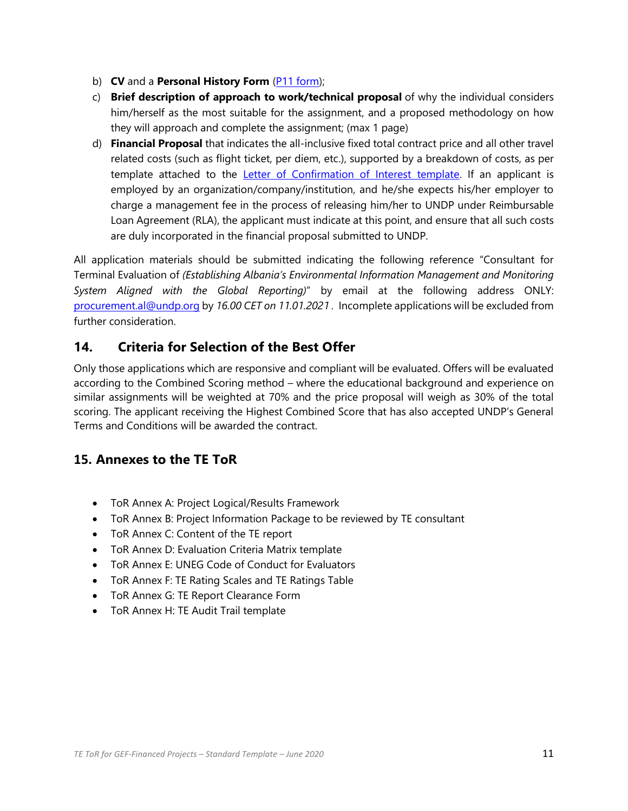- b) **CV** and a **Personal History Form** [\(P11 form\)](http://www.undp.org/content/dam/undp/library/corporate/Careers/P11_Personal_history_form.doc);
- c) **Brief description of approach to work/technical proposal** of why the individual considers him/herself as the most suitable for the assignment, and a proposed methodology on how they will approach and complete the assignment; (max 1 page)
- d) **Financial Proposal** that indicates the all-inclusive fixed total contract price and all other travel related costs (such as flight ticket, per diem, etc.), supported by a breakdown of costs, as per template attached to the **Letter of Confirmation of Interest template**. If an applicant is employed by an organization/company/institution, and he/she expects his/her employer to charge a management fee in the process of releasing him/her to UNDP under Reimbursable Loan Agreement (RLA), the applicant must indicate at this point, and ensure that all such costs are duly incorporated in the financial proposal submitted to UNDP.

All application materials should be submitted indicating the following reference "Consultant for Terminal Evaluation of *(Establishing Albania's Environmental Information Management and Monitoring System Aligned with the Global Reporting)*" by email at the following address ONLY: [procurement.al@undp.org](mailto:procurement.al@undp.org) by *16.00 CET on 11.01.2021 .* Incomplete applications will be excluded from further consideration.

#### **14. Criteria for Selection of the Best Offer**

Only those applications which are responsive and compliant will be evaluated. Offers will be evaluated according to the Combined Scoring method – where the educational background and experience on similar assignments will be weighted at 70% and the price proposal will weigh as 30% of the total scoring. The applicant receiving the Highest Combined Score that has also accepted UNDP's General Terms and Conditions will be awarded the contract.

## **15. Annexes to the TE ToR**

- ToR Annex A: Project Logical/Results Framework
- ToR Annex B: Project Information Package to be reviewed by TE consultant
- ToR Annex C: Content of the TE report
- ToR Annex D: Evaluation Criteria Matrix template
- ToR Annex E: UNEG Code of Conduct for Evaluators
- ToR Annex F: TE Rating Scales and TE Ratings Table
- ToR Annex G: TE Report Clearance Form
- ToR Annex H: TE Audit Trail template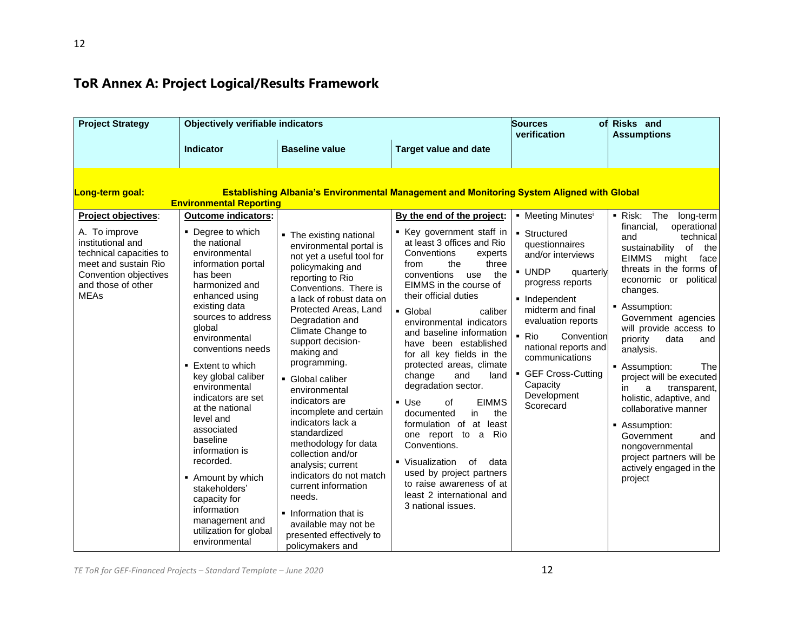# **ToR Annex A: Project Logical/Results Framework**

| <b>Project Strategy</b>                                                                                                                                                                       | <b>Sources</b><br>Objectively verifiable indicators                                                                                                                                                                                                                                                                                                                                                                                                                                              |                                                                                                                                                                                                                                                                                                                                                                                                                                                                                                                                            |                                                                                                                                                                                                                                                                                                                                                                                                                                                                                                                                                                                                                                                                                                                                                                                                                |                                                                                                                                                                                                                                                                                                                                              | of Risks and<br><b>Assumptions</b>                                                                                                                                                                                                                                                                                                                                                                                                                                                                                                                                                            |
|-----------------------------------------------------------------------------------------------------------------------------------------------------------------------------------------------|--------------------------------------------------------------------------------------------------------------------------------------------------------------------------------------------------------------------------------------------------------------------------------------------------------------------------------------------------------------------------------------------------------------------------------------------------------------------------------------------------|--------------------------------------------------------------------------------------------------------------------------------------------------------------------------------------------------------------------------------------------------------------------------------------------------------------------------------------------------------------------------------------------------------------------------------------------------------------------------------------------------------------------------------------------|----------------------------------------------------------------------------------------------------------------------------------------------------------------------------------------------------------------------------------------------------------------------------------------------------------------------------------------------------------------------------------------------------------------------------------------------------------------------------------------------------------------------------------------------------------------------------------------------------------------------------------------------------------------------------------------------------------------------------------------------------------------------------------------------------------------|----------------------------------------------------------------------------------------------------------------------------------------------------------------------------------------------------------------------------------------------------------------------------------------------------------------------------------------------|-----------------------------------------------------------------------------------------------------------------------------------------------------------------------------------------------------------------------------------------------------------------------------------------------------------------------------------------------------------------------------------------------------------------------------------------------------------------------------------------------------------------------------------------------------------------------------------------------|
|                                                                                                                                                                                               | <b>Indicator</b>                                                                                                                                                                                                                                                                                                                                                                                                                                                                                 | <b>Baseline value</b>                                                                                                                                                                                                                                                                                                                                                                                                                                                                                                                      | <b>Target value and date</b>                                                                                                                                                                                                                                                                                                                                                                                                                                                                                                                                                                                                                                                                                                                                                                                   |                                                                                                                                                                                                                                                                                                                                              |                                                                                                                                                                                                                                                                                                                                                                                                                                                                                                                                                                                               |
| Long-term goal:<br>Project objectives:<br>A. To improve<br>institutional and<br>technical capacities to<br>meet and sustain Rio<br>Convention objectives<br>and those of other<br><b>MEAs</b> | <b>Environmental Reporting</b><br><b>Outcome indicators:</b><br>• Degree to which<br>the national<br>environmental<br>information portal<br>has been<br>harmonized and<br>enhanced using<br>existing data<br>sources to address<br>alobal<br>environmental<br>conventions needs<br>• Extent to which<br>key global caliber<br>environmental<br>indicators are set<br>at the national<br>level and<br>associated<br>baseline<br>information is<br>recorded.<br>• Amount by which<br>stakeholders' | • The existing national<br>environmental portal is<br>not yet a useful tool for<br>policymaking and<br>reporting to Rio<br>Conventions. There is<br>a lack of robust data on<br>Protected Areas, Land<br>Degradation and<br>Climate Change to<br>support decision-<br>making and<br>programming.<br>• Global caliber<br>environmental<br>indicators are<br>incomplete and certain<br>indicators lack a<br>standardized<br>methodology for data<br>collection and/or<br>analysis; current<br>indicators do not match<br>current information | <b>Establishing Albania's Environmental Management and Monitoring System Aligned with Global</b><br>By the end of the project:<br>■ Key government staff in<br>at least 3 offices and Rio<br>Conventions<br>experts<br>the<br>three<br>from<br>the<br>conventions<br>use<br>EIMMS in the course of<br>their official duties<br>• Global<br>caliber<br>environmental indicators<br>and baseline information<br>have been established<br>for all key fields in the<br>protected areas, climate<br>change<br>and<br>land<br>degradation sector.<br><b>EIMMS</b><br>$\blacksquare$ Use<br>of<br>documented<br>in<br>the<br>formulation of at least<br>one report to a<br>Rio<br>Conventions.<br>• Visualization<br>of<br>data<br>used by project partners<br>to raise awareness of at<br>least 2 international and | • Meeting Minutes <sup>i</sup><br>• Structured<br>questionnaires<br>and/or interviews<br><b>UNDP</b><br>quarterly<br>progress reports<br>• Independent<br>midterm and final<br>evaluation reports<br>$\blacksquare$ Rio<br>Convention<br>national reports and<br>communications<br>GEF Cross-Cutting<br>Capacity<br>Development<br>Scorecard | $\blacksquare$ Risk:<br>The<br>long-term<br>financial.<br>operational<br>and<br>technical<br>sustainability of<br>the<br><b>EIMMS</b><br>face<br>might<br>threats in the forms of<br>economic or political<br>changes.<br>• Assumption:<br>Government agencies<br>will provide access to<br>priority<br>data<br>and<br>analysis.<br>• Assumption:<br>The<br>project will be executed<br>in<br>transparent,<br>a<br>holistic, adaptive, and<br>collaborative manner<br>• Assumption:<br>Government<br>and<br>nongovernmental<br>project partners will be<br>actively engaged in the<br>project |
|                                                                                                                                                                                               | capacity for<br>information<br>management and<br>utilization for global<br>environmental                                                                                                                                                                                                                                                                                                                                                                                                         | needs.<br>• Information that is<br>available may not be<br>presented effectively to<br>policymakers and                                                                                                                                                                                                                                                                                                                                                                                                                                    | 3 national issues.                                                                                                                                                                                                                                                                                                                                                                                                                                                                                                                                                                                                                                                                                                                                                                                             |                                                                                                                                                                                                                                                                                                                                              |                                                                                                                                                                                                                                                                                                                                                                                                                                                                                                                                                                                               |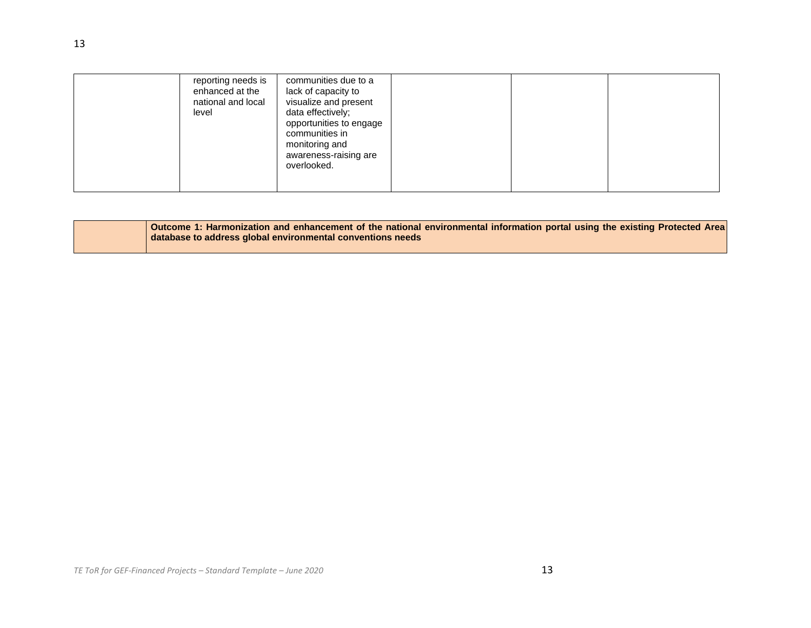| lack of capacity to<br>enhanced at the<br>visualize and present<br>national and local<br>data effectively;<br>level<br>opportunities to engage<br>communities in<br>monitoring and<br>awareness-raising are<br>overlooked. |
|----------------------------------------------------------------------------------------------------------------------------------------------------------------------------------------------------------------------------|
|----------------------------------------------------------------------------------------------------------------------------------------------------------------------------------------------------------------------------|

| Outcome 1: Harmonization and enhancement of the national environmental information portal using the existing Protected Area |
|-----------------------------------------------------------------------------------------------------------------------------|
| database to address global environmental conventions needs                                                                  |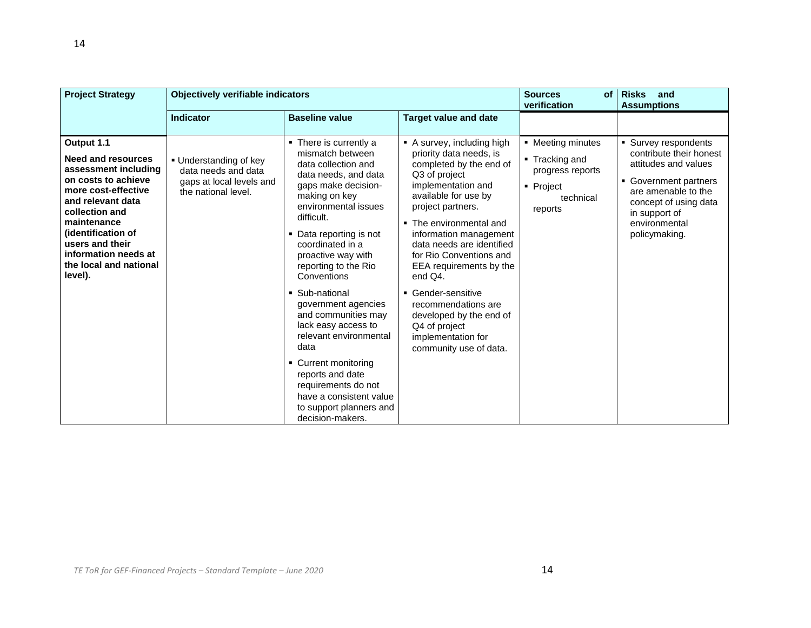| <b>Project Strategy</b>                                                                                                                                                                                                                                            | <b>Objectively verifiable indicators</b>                                                         |                                                                                                                                                                                                                                                                                                                                                                                                                                                                                                                                                         | <b>Sources</b><br><b>of</b><br>verification                                                                                                                                                                                                                                                                                                                                                                                                                    | <b>Risks</b><br>and<br><b>Assumptions</b>                                                    |                                                                                                                                                                                                     |
|--------------------------------------------------------------------------------------------------------------------------------------------------------------------------------------------------------------------------------------------------------------------|--------------------------------------------------------------------------------------------------|---------------------------------------------------------------------------------------------------------------------------------------------------------------------------------------------------------------------------------------------------------------------------------------------------------------------------------------------------------------------------------------------------------------------------------------------------------------------------------------------------------------------------------------------------------|----------------------------------------------------------------------------------------------------------------------------------------------------------------------------------------------------------------------------------------------------------------------------------------------------------------------------------------------------------------------------------------------------------------------------------------------------------------|----------------------------------------------------------------------------------------------|-----------------------------------------------------------------------------------------------------------------------------------------------------------------------------------------------------|
|                                                                                                                                                                                                                                                                    | Indicator                                                                                        | <b>Baseline value</b>                                                                                                                                                                                                                                                                                                                                                                                                                                                                                                                                   | <b>Target value and date</b>                                                                                                                                                                                                                                                                                                                                                                                                                                   |                                                                                              |                                                                                                                                                                                                     |
| Output 1.1<br>Need and resources<br>assessment including<br>on costs to achieve<br>more cost-effective<br>and relevant data<br>collection and<br>maintenance<br>(identification of<br>users and their<br>information needs at<br>the local and national<br>level). | ■ Understanding of key<br>data needs and data<br>gaps at local levels and<br>the national level. | • There is currently a<br>mismatch between<br>data collection and<br>data needs, and data<br>gaps make decision-<br>making on key<br>environmental issues<br>difficult.<br>Data reporting is not<br>coordinated in a<br>proactive way with<br>reporting to the Rio<br>Conventions<br>• Sub-national<br>government agencies<br>and communities may<br>lack easy access to<br>relevant environmental<br>data<br>• Current monitoring<br>reports and date<br>requirements do not<br>have a consistent value<br>to support planners and<br>decision-makers. | A survey, including high<br>priority data needs, is<br>completed by the end of<br>Q3 of project<br>implementation and<br>available for use by<br>project partners.<br>• The environmental and<br>information management<br>data needs are identified<br>for Rio Conventions and<br>EEA requirements by the<br>end Q4.<br>• Gender-sensitive<br>recommendations are<br>developed by the end of<br>Q4 of project<br>implementation for<br>community use of data. | • Meeting minutes<br>■ Tracking and<br>progress reports<br>• Project<br>technical<br>reports | • Survey respondents<br>contribute their honest<br>attitudes and values<br>• Government partners<br>are amenable to the<br>concept of using data<br>in support of<br>environmental<br>policymaking. |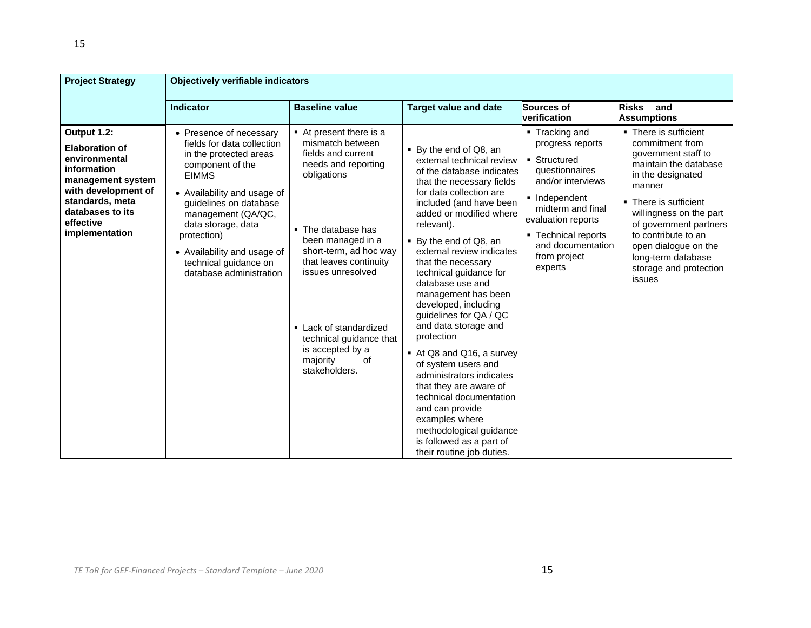| <b>Project Strategy</b>                                                                                                                                                                | <b>Objectively verifiable indicators</b>                                                                                                                                                                                                                                                                                   |                                                                                                                                                                                                                                                                                                                                       |                                                                                                                                                                                                                                                                                                                                                                                                                                                                                                                                                                                                                                                                                                                      |                                                                                                                                                                                                                              |                                                                                                                                                                                                                                                                                                                |
|----------------------------------------------------------------------------------------------------------------------------------------------------------------------------------------|----------------------------------------------------------------------------------------------------------------------------------------------------------------------------------------------------------------------------------------------------------------------------------------------------------------------------|---------------------------------------------------------------------------------------------------------------------------------------------------------------------------------------------------------------------------------------------------------------------------------------------------------------------------------------|----------------------------------------------------------------------------------------------------------------------------------------------------------------------------------------------------------------------------------------------------------------------------------------------------------------------------------------------------------------------------------------------------------------------------------------------------------------------------------------------------------------------------------------------------------------------------------------------------------------------------------------------------------------------------------------------------------------------|------------------------------------------------------------------------------------------------------------------------------------------------------------------------------------------------------------------------------|----------------------------------------------------------------------------------------------------------------------------------------------------------------------------------------------------------------------------------------------------------------------------------------------------------------|
|                                                                                                                                                                                        | <b>Indicator</b>                                                                                                                                                                                                                                                                                                           | <b>Baseline value</b>                                                                                                                                                                                                                                                                                                                 | <b>Target value and date</b>                                                                                                                                                                                                                                                                                                                                                                                                                                                                                                                                                                                                                                                                                         | Sources of<br>verification                                                                                                                                                                                                   | <b>Risks</b><br>and<br><b>Assumptions</b>                                                                                                                                                                                                                                                                      |
| Output 1.2:<br><b>Elaboration of</b><br>environmental<br>information<br>management system<br>with development of<br>standards, meta<br>databases to its<br>effective<br>implementation | • Presence of necessary<br>fields for data collection<br>in the protected areas<br>component of the<br><b>EIMMS</b><br>• Availability and usage of<br>guidelines on database<br>management (QA/QC,<br>data storage, data<br>protection)<br>• Availability and usage of<br>technical guidance on<br>database administration | At present there is a<br>mismatch between<br>fields and current<br>needs and reporting<br>obligations<br>• The database has<br>been managed in a<br>short-term, ad hoc way<br>that leaves continuity<br>issues unresolved<br>• Lack of standardized<br>technical guidance that<br>is accepted by a<br>majority<br>0f<br>stakeholders. | ■ By the end of Q8, an<br>external technical review<br>of the database indicates<br>that the necessary fields<br>for data collection are<br>included (and have been<br>added or modified where<br>relevant).<br>• By the end of Q8, an<br>external review indicates<br>that the necessary<br>technical guidance for<br>database use and<br>management has been<br>developed, including<br>guidelines for QA / QC<br>and data storage and<br>protection<br>■ At Q8 and Q16, a survey<br>of system users and<br>administrators indicates<br>that they are aware of<br>technical documentation<br>and can provide<br>examples where<br>methodological guidance<br>is followed as a part of<br>their routine job duties. | • Tracking and<br>progress reports<br>• Structured<br>questionnaires<br>and/or interviews<br>• Independent<br>midterm and final<br>evaluation reports<br>• Technical reports<br>and documentation<br>from project<br>experts | • There is sufficient<br>commitment from<br>government staff to<br>maintain the database<br>in the designated<br>manner<br>• There is sufficient<br>willingness on the part<br>of government partners<br>to contribute to an<br>open dialogue on the<br>long-term database<br>storage and protection<br>issues |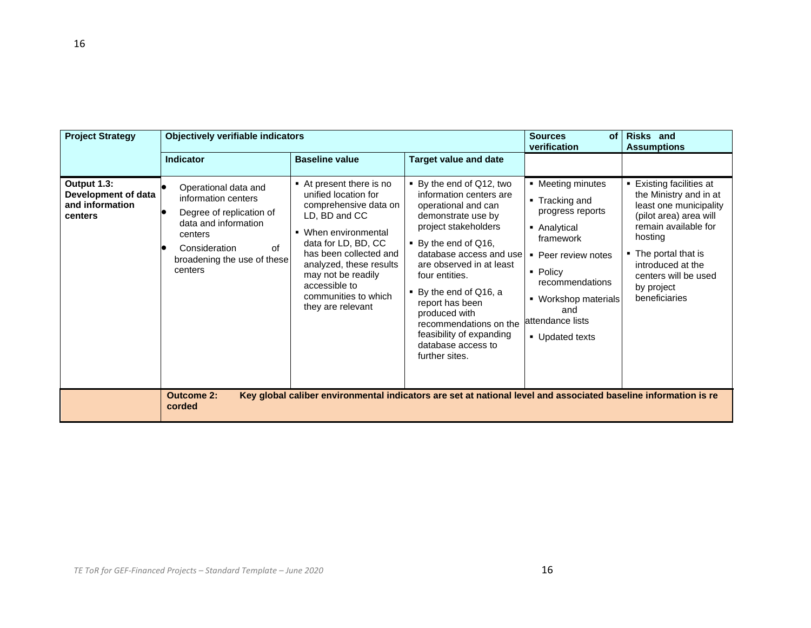| <b>Project Strategy</b>                                          | Objectively verifiable indicators                                                                                                                                           |                                                                                                                                                                                                                                                                                    |                                                                                                                                                                                                                                                                                                                                                                                       | <b>Sources</b><br><b>of</b><br>verification                                                                                                                                                                    | Risks and<br><b>Assumptions</b>                                                                                                                                                                                                               |
|------------------------------------------------------------------|-----------------------------------------------------------------------------------------------------------------------------------------------------------------------------|------------------------------------------------------------------------------------------------------------------------------------------------------------------------------------------------------------------------------------------------------------------------------------|---------------------------------------------------------------------------------------------------------------------------------------------------------------------------------------------------------------------------------------------------------------------------------------------------------------------------------------------------------------------------------------|----------------------------------------------------------------------------------------------------------------------------------------------------------------------------------------------------------------|-----------------------------------------------------------------------------------------------------------------------------------------------------------------------------------------------------------------------------------------------|
|                                                                  | Indicator                                                                                                                                                                   | <b>Baseline value</b>                                                                                                                                                                                                                                                              | <b>Target value and date</b>                                                                                                                                                                                                                                                                                                                                                          |                                                                                                                                                                                                                |                                                                                                                                                                                                                                               |
| Output 1.3:<br>Development of data<br>and information<br>centers | Operational data and<br>information centers<br>Degree of replication of<br>data and information<br>centers<br>of<br>Consideration<br>broadening the use of these<br>centers | ■ At present there is no<br>unified location for<br>comprehensive data on<br>LD, BD and CC<br>• When environmental<br>data for LD, BD, CC<br>has been collected and<br>analyzed, these results<br>may not be readily<br>accessible to<br>communities to which<br>they are relevant | ■ By the end of Q12, two<br>information centers are<br>operational and can<br>demonstrate use by<br>project stakeholders<br>■ By the end of Q16,<br>database access and use<br>are observed in at least<br>four entities.<br>■ By the end of Q16, a<br>report has been<br>produced with<br>recommendations on the<br>feasibility of expanding<br>database access to<br>further sites. | • Meeting minutes<br>■ Tracking and<br>progress reports<br>• Analytical<br>framework<br>Peer review notes<br>• Policy<br>recommendations<br>• Workshop materials<br>and<br>attendance lists<br>• Updated texts | ■ Existing facilities at<br>the Ministry and in at<br>least one municipality<br>(pilot area) area will<br>remain available for<br>hosting<br>• The portal that is<br>introduced at the<br>centers will be used<br>by project<br>beneficiaries |
|                                                                  | <b>Outcome 2:</b><br>corded                                                                                                                                                 |                                                                                                                                                                                                                                                                                    | Key global caliber environmental indicators are set at national level and associated baseline information is re                                                                                                                                                                                                                                                                       |                                                                                                                                                                                                                |                                                                                                                                                                                                                                               |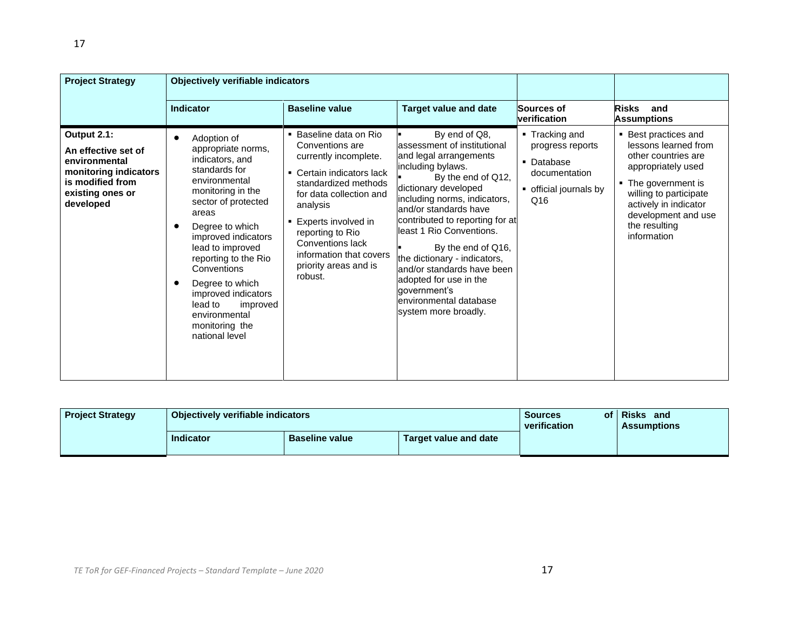| <b>Project Strategy</b>                                                                                                           | Objectively verifiable indicators                                                                                                                                                                                                                                                                                                                                      |                                                                                                                                                                                                                                                                                                |                                                                                                                                                                                                                                                                                                                                                                                                                                                     |                                                                                                               |                                                                                                                                                                                                                            |
|-----------------------------------------------------------------------------------------------------------------------------------|------------------------------------------------------------------------------------------------------------------------------------------------------------------------------------------------------------------------------------------------------------------------------------------------------------------------------------------------------------------------|------------------------------------------------------------------------------------------------------------------------------------------------------------------------------------------------------------------------------------------------------------------------------------------------|-----------------------------------------------------------------------------------------------------------------------------------------------------------------------------------------------------------------------------------------------------------------------------------------------------------------------------------------------------------------------------------------------------------------------------------------------------|---------------------------------------------------------------------------------------------------------------|----------------------------------------------------------------------------------------------------------------------------------------------------------------------------------------------------------------------------|
|                                                                                                                                   | Indicator                                                                                                                                                                                                                                                                                                                                                              | <b>Baseline value</b>                                                                                                                                                                                                                                                                          | <b>Target value and date</b>                                                                                                                                                                                                                                                                                                                                                                                                                        | Sources of<br>verification                                                                                    | <b>Risks</b><br>and<br><b>Assumptions</b>                                                                                                                                                                                  |
| Output 2.1:<br>An effective set of<br>environmental<br>monitoring indicators<br>is modified from<br>existing ones or<br>developed | Adoption of<br>appropriate norms,<br>indicators, and<br>standards for<br>environmental<br>monitoring in the<br>sector of protected<br>areas<br>Degree to which<br>improved indicators<br>lead to improved<br>reporting to the Rio<br>Conventions<br>Degree to which<br>improved indicators<br>lead to<br>improved<br>environmental<br>monitoring the<br>national level | • Baseline data on Rio<br>Conventions are<br>currently incomplete.<br>• Certain indicators lack<br>standardized methods<br>for data collection and<br>analysis<br>■ Experts involved in<br>reporting to Rio<br>Conventions lack<br>information that covers<br>priority areas and is<br>robust. | By end of Q8,<br>assessment of institutional<br>and legal arrangements<br>including bylaws.<br>By the end of Q12,<br>dictionary developed<br>including norms, indicators,<br>and/or standards have<br>contributed to reporting for at<br>least 1 Rio Conventions.<br>By the end of Q16,<br>the dictionary - indicators,<br>land/or standards have been<br>adopted for use in the<br>government's<br>lenvironmental database<br>system more broadly. | $\blacksquare$ Tracking and<br>progress reports<br>• Database<br>documentation<br>official journals by<br>Q16 | ■ Best practices and<br>lessons learned from<br>other countries are<br>appropriately used<br>• The government is<br>willing to participate<br>actively in indicator<br>development and use<br>the resulting<br>information |

| <b>Project Strategy</b> | Objectively verifiable indicators |                       |                       | <b>Sources</b><br>verification | of Risks<br>and<br><b>Assumptions</b> |
|-------------------------|-----------------------------------|-----------------------|-----------------------|--------------------------------|---------------------------------------|
|                         | <b>Indicator</b>                  | <b>Baseline value</b> | Target value and date |                                |                                       |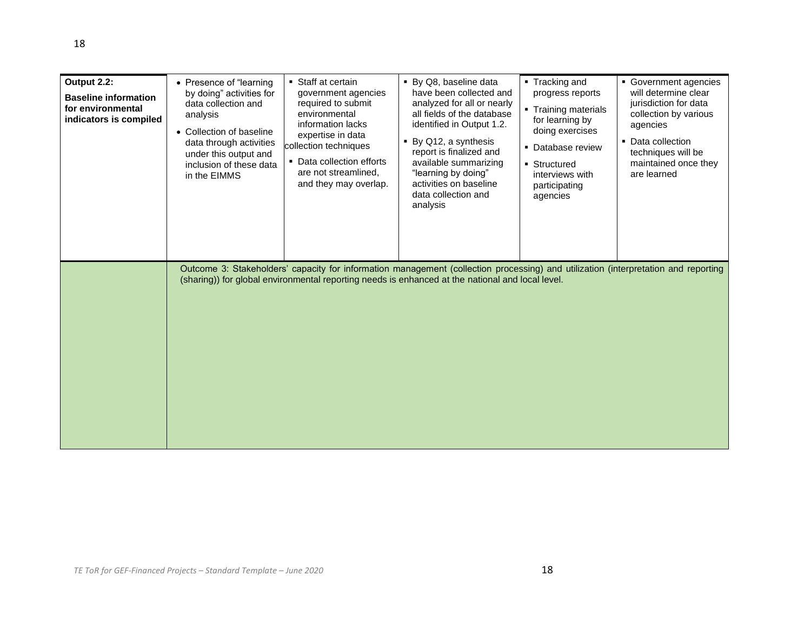| Output 2.2:<br><b>Baseline information</b><br>for environmental<br>indicators is compiled | • Presence of "learning"<br>by doing" activities for<br>data collection and<br>analysis<br>• Collection of baseline<br>data through activities<br>under this output and<br>inclusion of these data<br>in the EIMMS | ■ Staff at certain<br>government agencies<br>required to submit<br>environmental<br>information lacks<br>expertise in data<br>collection techniques<br>• Data collection efforts<br>are not streamlined,<br>and they may overlap. | · By Q8, baseline data<br>have been collected and<br>analyzed for all or nearly<br>all fields of the database<br>identified in Output 1.2.<br>• By Q12, a synthesis<br>report is finalized and<br>available summarizing<br>"learning by doing"<br>activities on baseline<br>data collection and<br>analysis | ■ Tracking and<br>progress reports<br>• Training materials<br>for learning by<br>doing exercises<br>• Database review<br>• Structured<br>interviews with<br>participating<br>agencies | • Government agencies<br>will determine clear<br>jurisdiction for data<br>collection by various<br>agencies<br>• Data collection<br>techniques will be<br>maintained once they<br>are learned |
|-------------------------------------------------------------------------------------------|--------------------------------------------------------------------------------------------------------------------------------------------------------------------------------------------------------------------|-----------------------------------------------------------------------------------------------------------------------------------------------------------------------------------------------------------------------------------|-------------------------------------------------------------------------------------------------------------------------------------------------------------------------------------------------------------------------------------------------------------------------------------------------------------|---------------------------------------------------------------------------------------------------------------------------------------------------------------------------------------|-----------------------------------------------------------------------------------------------------------------------------------------------------------------------------------------------|
|                                                                                           |                                                                                                                                                                                                                    |                                                                                                                                                                                                                                   | Outcome 3: Stakeholders' capacity for information management (collection processing) and utilization (interpretation and reporting<br>(sharing)) for global environmental reporting needs is enhanced at the national and local level.                                                                      |                                                                                                                                                                                       |                                                                                                                                                                                               |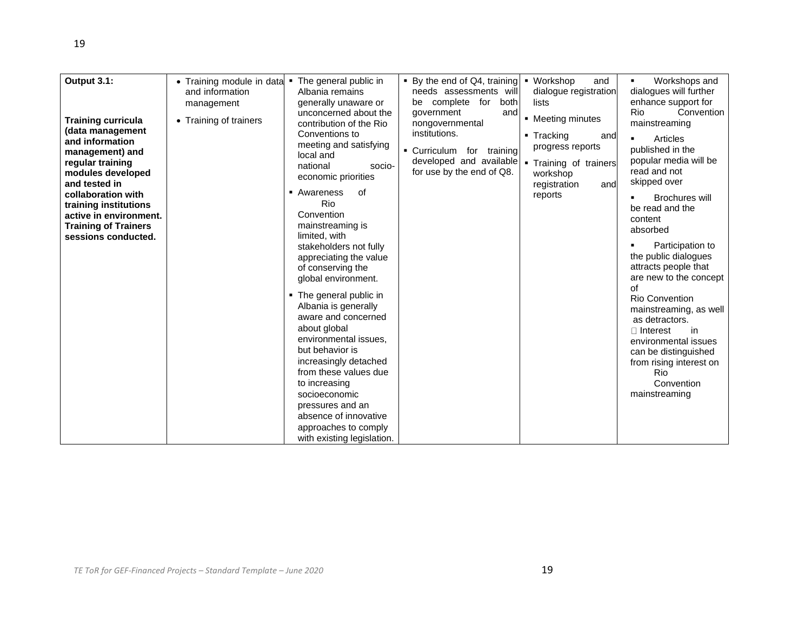| Output 3.1:<br><b>Training curricula</b><br>(data management<br>and information<br>management) and<br>regular training<br>modules developed<br>and tested in<br>collaboration with<br>training institutions<br>active in environment.<br><b>Training of Trainers</b><br>sessions conducted. | • Training module in data<br>and information<br>management<br>• Training of trainers | The general public in<br>Albania remains<br>generally unaware or<br>unconcerned about the<br>contribution of the Rio<br>Conventions to<br>meeting and satisfying<br>local and<br>national<br>socio-<br>economic priorities<br>• Awareness<br>0f<br>Rio<br>Convention<br>mainstreaming is<br>limited, with<br>stakeholders not fully<br>appreciating the value<br>of conserving the<br>global environment. | • By the end of Q4, training<br>• Workshop<br>and<br>needs assessments will<br>dialogue registration<br>complete for<br>both<br>lists<br>be<br>government<br>and<br>• Meeting minutes<br>nongovernmental<br>institutions.<br>■ Tracking<br>and<br>progress reports<br>• Curriculum for training<br>developed and available<br>Training of trainers<br>for use by the end of Q8.<br>workshop<br>registration<br>and<br>reports | Workshops and<br>dialogues will further<br>enhance support for<br>Rio<br>Convention<br>mainstreaming<br>Articles<br>published in the<br>popular media will be<br>read and not<br>skipped over<br><b>Brochures will</b><br>be read and the<br>content<br>absorbed<br>Participation to<br>the public dialogues<br>attracts people that<br>are new to the concept<br>of |
|---------------------------------------------------------------------------------------------------------------------------------------------------------------------------------------------------------------------------------------------------------------------------------------------|--------------------------------------------------------------------------------------|-----------------------------------------------------------------------------------------------------------------------------------------------------------------------------------------------------------------------------------------------------------------------------------------------------------------------------------------------------------------------------------------------------------|-------------------------------------------------------------------------------------------------------------------------------------------------------------------------------------------------------------------------------------------------------------------------------------------------------------------------------------------------------------------------------------------------------------------------------|----------------------------------------------------------------------------------------------------------------------------------------------------------------------------------------------------------------------------------------------------------------------------------------------------------------------------------------------------------------------|
|                                                                                                                                                                                                                                                                                             |                                                                                      | • The general public in<br>Albania is generally<br>aware and concerned<br>about global<br>environmental issues.<br>but behavior is<br>increasingly detached<br>from these values due<br>to increasing<br>socioeconomic<br>pressures and an<br>absence of innovative<br>approaches to comply<br>with existing legislation.                                                                                 |                                                                                                                                                                                                                                                                                                                                                                                                                               | <b>Rio Convention</b><br>mainstreaming, as well<br>as detractors.<br>$\Box$ Interest<br>in<br>environmental issues<br>can be distinguished<br>from rising interest on<br>Rio<br>Convention<br>mainstreaming                                                                                                                                                          |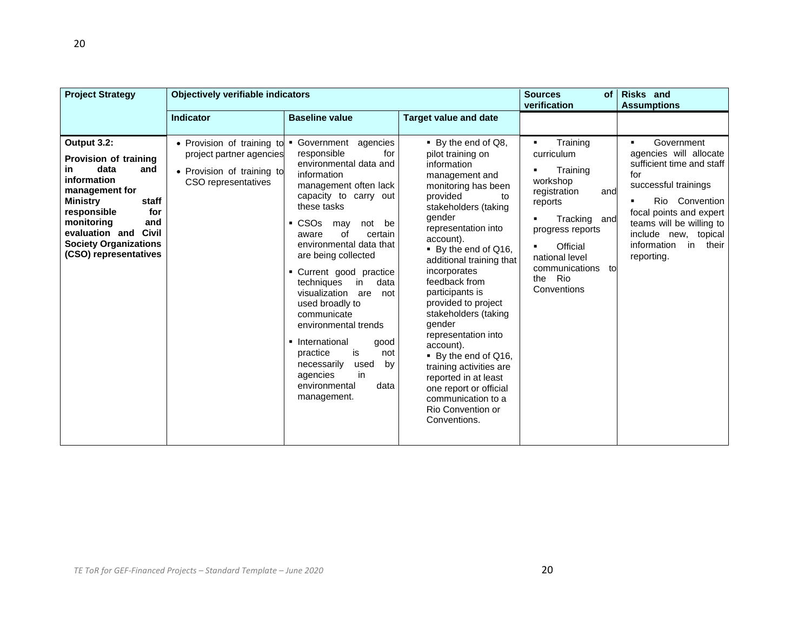| <b>Project Strategy</b>                                                                                                                                                                                                                               | Objectively verifiable indicators                                                                           |                                                                                                                                                                                                                                                                                                                                                                                                                                                                                                                                                                                 |                                                                                                                                                                                                                                                                                                                                                                                                                                                                                                                                                               | <b>Sources</b><br><b>of</b><br>verification                                                                                                                                                                                   | Risks and<br><b>Assumptions</b>                                                                                                                                                                                                                                 |
|-------------------------------------------------------------------------------------------------------------------------------------------------------------------------------------------------------------------------------------------------------|-------------------------------------------------------------------------------------------------------------|---------------------------------------------------------------------------------------------------------------------------------------------------------------------------------------------------------------------------------------------------------------------------------------------------------------------------------------------------------------------------------------------------------------------------------------------------------------------------------------------------------------------------------------------------------------------------------|---------------------------------------------------------------------------------------------------------------------------------------------------------------------------------------------------------------------------------------------------------------------------------------------------------------------------------------------------------------------------------------------------------------------------------------------------------------------------------------------------------------------------------------------------------------|-------------------------------------------------------------------------------------------------------------------------------------------------------------------------------------------------------------------------------|-----------------------------------------------------------------------------------------------------------------------------------------------------------------------------------------------------------------------------------------------------------------|
|                                                                                                                                                                                                                                                       | Indicator                                                                                                   | <b>Baseline value</b>                                                                                                                                                                                                                                                                                                                                                                                                                                                                                                                                                           | <b>Target value and date</b>                                                                                                                                                                                                                                                                                                                                                                                                                                                                                                                                  |                                                                                                                                                                                                                               |                                                                                                                                                                                                                                                                 |
| Output 3.2:<br>Provision of training<br>data<br>in<br>and<br>information<br>management for<br>staff<br><b>Ministry</b><br>for<br>responsible<br>monitoring<br>and<br>evaluation and<br>Civil<br><b>Society Organizations</b><br>(CSO) representatives | • Provision of training to<br>project partner agencies<br>• Provision of training to<br>CSO representatives | Government agencies<br>responsible<br>for<br>environmental data and<br>information<br>management often lack<br>capacity to carry out<br>these tasks<br>$\overline{\phantom{a}}$ CSOs<br>may<br>not<br>be<br>of<br>certain<br>aware<br>environmental data that<br>are being collected<br>• Current good practice<br>data<br>techniques<br>in<br>visualization<br>are<br>not<br>used broadly to<br>communicate<br>environmental trends<br>• International<br>good<br>practice<br>is<br>not<br>necessarily<br>used<br>by<br>in<br>agencies<br>environmental<br>data<br>management. | ■ By the end of Q8,<br>pilot training on<br>information<br>management and<br>monitoring has been<br>provided<br>to<br>stakeholders (taking<br>gender<br>representation into<br>account).<br>• By the end of Q16,<br>additional training that<br>incorporates<br>feedback from<br>participants is<br>provided to project<br>stakeholders (taking<br>gender<br>representation into<br>account).<br>■ By the end of Q16,<br>training activities are<br>reported in at least<br>one report or official<br>communication to a<br>Rio Convention or<br>Conventions. | Training<br>$\blacksquare$<br>curriculum<br>Training<br>workshop<br>registration<br>and<br>reports<br>Tracking<br>and<br>progress reports<br>Official<br>national level<br>communications<br>tol<br>Rio<br>the<br>Conventions | Government<br>$\blacksquare$<br>agencies will allocate<br>sufficient time and staff<br>for<br>successful trainings<br>Rio Convention<br>focal points and expert<br>teams will be willing to<br>include new, topical<br>information<br>in<br>their<br>reporting. |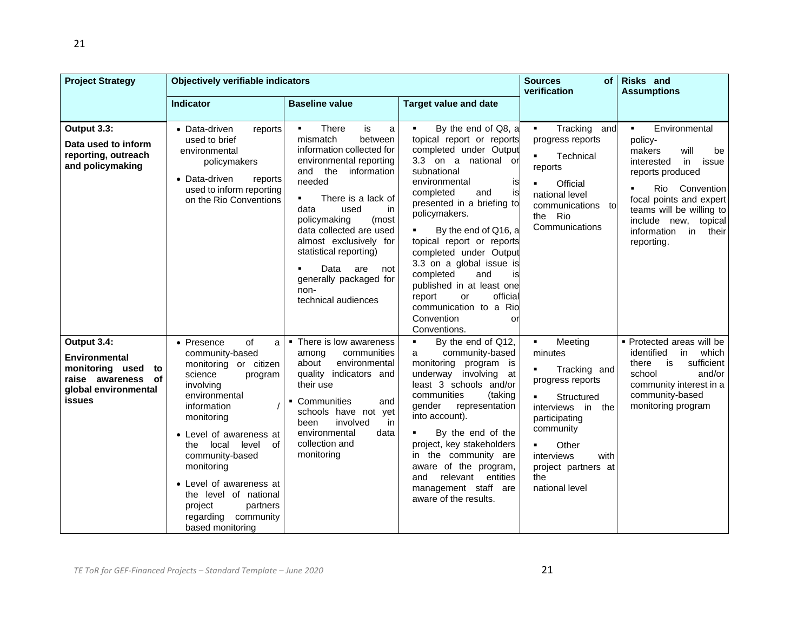| <b>Project Strategy</b>                                                                                                     | Objectively verifiable indicators                                                                                                                                                                                                                                                                                                                                   |                                                                                                                                                                                                                                                                                                                                                                            | of<br><b>Sources</b><br>verification                                                                                                                                                                                                                                                                                                                                                                                                                                          | Risks and<br><b>Assumptions</b>                                                                                                                                                                                               |                                                                                                                                                                                                                                                            |
|-----------------------------------------------------------------------------------------------------------------------------|---------------------------------------------------------------------------------------------------------------------------------------------------------------------------------------------------------------------------------------------------------------------------------------------------------------------------------------------------------------------|----------------------------------------------------------------------------------------------------------------------------------------------------------------------------------------------------------------------------------------------------------------------------------------------------------------------------------------------------------------------------|-------------------------------------------------------------------------------------------------------------------------------------------------------------------------------------------------------------------------------------------------------------------------------------------------------------------------------------------------------------------------------------------------------------------------------------------------------------------------------|-------------------------------------------------------------------------------------------------------------------------------------------------------------------------------------------------------------------------------|------------------------------------------------------------------------------------------------------------------------------------------------------------------------------------------------------------------------------------------------------------|
|                                                                                                                             | <b>Indicator</b>                                                                                                                                                                                                                                                                                                                                                    | <b>Baseline value</b>                                                                                                                                                                                                                                                                                                                                                      | <b>Target value and date</b>                                                                                                                                                                                                                                                                                                                                                                                                                                                  |                                                                                                                                                                                                                               |                                                                                                                                                                                                                                                            |
| Output 3.3:<br>Data used to inform<br>reporting, outreach<br>and policymaking                                               | • Data-driven<br>reports<br>used to brief<br>environmental<br>policymakers<br>• Data-driven<br>reports<br>used to inform reporting<br>on the Rio Conventions                                                                                                                                                                                                        | <b>There</b><br>is<br>a<br>mismatch<br>between<br>information collected for<br>environmental reporting<br>and the<br>information<br>needed<br>There is a lack of<br>data<br>used<br>in<br>policymaking<br>(most<br>data collected are used<br>almost exclusively for<br>statistical reporting)<br>Data are<br>not<br>generally packaged for<br>non-<br>technical audiences | By the end of Q8, a<br>topical report or reports<br>completed under Output<br>3.3 on a national or<br>subnational<br>environmental<br>is<br>completed<br>and<br>is<br>presented in a briefing to<br>policymakers.<br>By the end of Q16, a<br>topical report or reports<br>completed under Output<br>3.3 on a global issue is<br>completed<br>and<br>is<br>published in at least one<br>official<br>report<br>or<br>communication to a Rio<br>Convention<br>or<br>Conventions. | Tracking and<br>$\blacksquare$<br>progress reports<br>Technical<br>reports<br>Official<br>national level<br>communications to<br>the Rio<br>Communications                                                                    | Environmental<br>٠.<br>policy-<br>will<br>makers<br>be<br>in<br>interested<br>issue<br>reports produced<br>Convention<br>Rio<br>focal points and expert<br>teams will be willing to<br>include new,<br>topical<br>information<br>in<br>their<br>reporting. |
| Output 3.4:<br><b>Environmental</b><br>monitoring used to<br>raise awareness<br>of<br>global environmental<br><b>issues</b> | of<br>• Presence<br>a<br>community-based<br>monitoring or citizen<br>science<br>program<br>involving<br>environmental<br>information<br>monitoring<br>• Level of awareness at<br>local<br>0f<br>the<br>level<br>community-based<br>monitoring<br>• Level of awareness at<br>the level of national<br>project<br>partners<br>regarding community<br>based monitoring | • There is low awareness<br>communities<br>among<br>environmental<br>about<br>quality indicators and<br>their use<br>• Communities<br>and<br>schools have not yet<br>involved<br>in<br>been<br>environmental<br>data<br>collection and<br>monitoring                                                                                                                       | By the end of Q12,<br>$\blacksquare$<br>community-based<br>a<br>monitoring program is<br>underway involving at<br>least 3 schools and/or<br>communities<br>(taking<br>gender<br>representation<br>into account).<br>By the end of the<br>project, key stakeholders<br>in the community are<br>aware of the program,<br>relevant entities<br>and<br>management staff are<br>aware of the results.                                                                              | $\blacksquare$<br>Meeting<br>minutes<br>Tracking and<br>progress reports<br>Structured<br>interviews in the<br>participating<br>community<br>Other<br>٠<br>interviews<br>with<br>project partners at<br>the<br>national level | • Protected areas will be<br>identified<br>which<br>in<br>sufficient<br>is<br>there<br>and/or<br>school<br>community interest in a<br>community-based<br>monitoring program                                                                                |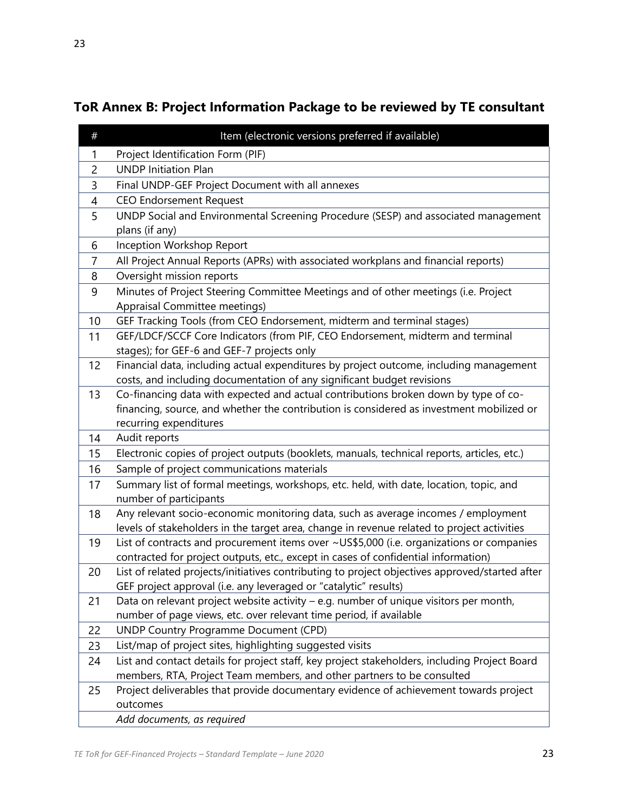# **ToR Annex B: Project Information Package to be reviewed by TE consultant**

| $\#$ | Item (electronic versions preferred if available)                                                                                                                                                         |
|------|-----------------------------------------------------------------------------------------------------------------------------------------------------------------------------------------------------------|
| 1    | Project Identification Form (PIF)                                                                                                                                                                         |
| 2    | <b>UNDP Initiation Plan</b>                                                                                                                                                                               |
| 3    | Final UNDP-GEF Project Document with all annexes                                                                                                                                                          |
| 4    | <b>CEO Endorsement Request</b>                                                                                                                                                                            |
| 5    | UNDP Social and Environmental Screening Procedure (SESP) and associated management<br>plans (if any)                                                                                                      |
| 6    | Inception Workshop Report                                                                                                                                                                                 |
| 7    | All Project Annual Reports (APRs) with associated workplans and financial reports)                                                                                                                        |
| 8    | Oversight mission reports                                                                                                                                                                                 |
| 9    | Minutes of Project Steering Committee Meetings and of other meetings (i.e. Project<br>Appraisal Committee meetings)                                                                                       |
| 10   | GEF Tracking Tools (from CEO Endorsement, midterm and terminal stages)                                                                                                                                    |
| 11   | GEF/LDCF/SCCF Core Indicators (from PIF, CEO Endorsement, midterm and terminal<br>stages); for GEF-6 and GEF-7 projects only                                                                              |
| 12   | Financial data, including actual expenditures by project outcome, including management<br>costs, and including documentation of any significant budget revisions                                          |
| 13   | Co-financing data with expected and actual contributions broken down by type of co-<br>financing, source, and whether the contribution is considered as investment mobilized or<br>recurring expenditures |
| 14   | Audit reports                                                                                                                                                                                             |
| 15   | Electronic copies of project outputs (booklets, manuals, technical reports, articles, etc.)                                                                                                               |
| 16   | Sample of project communications materials                                                                                                                                                                |
| 17   | Summary list of formal meetings, workshops, etc. held, with date, location, topic, and<br>number of participants                                                                                          |
| 18   | Any relevant socio-economic monitoring data, such as average incomes / employment<br>levels of stakeholders in the target area, change in revenue related to project activities                           |
| 19   | List of contracts and procurement items over ~US\$5,000 (i.e. organizations or companies<br>contracted for project outputs, etc., except in cases of confidential information)                            |
| 20   | List of related projects/initiatives contributing to project objectives approved/started after<br>GEF project approval (i.e. any leveraged or "catalytic" results)                                        |
| 21   | Data on relevant project website activity – e.g. number of unique visitors per month,<br>number of page views, etc. over relevant time period, if available                                               |
| 22   | UNDP Country Programme Document (CPD)                                                                                                                                                                     |
| 23   | List/map of project sites, highlighting suggested visits                                                                                                                                                  |
| 24   | List and contact details for project staff, key project stakeholders, including Project Board<br>members, RTA, Project Team members, and other partners to be consulted                                   |
| 25   | Project deliverables that provide documentary evidence of achievement towards project<br>outcomes                                                                                                         |
|      | Add documents, as required                                                                                                                                                                                |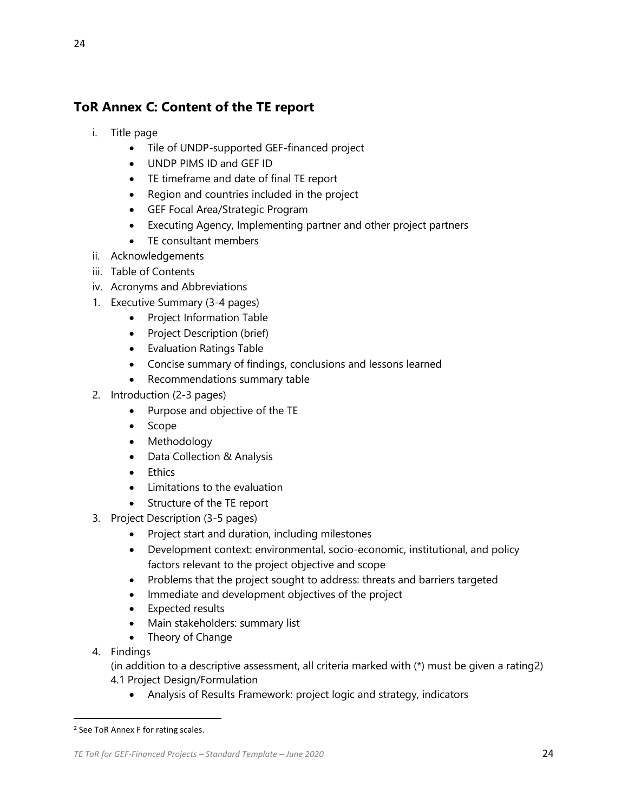## **ToR Annex C: Content of the TE report**

- i. Title page
	- Tile of UNDP-supported GEF-financed project
	- UNDP PIMS ID and GEF ID
	- TE timeframe and date of final TE report
	- Region and countries included in the project
	- GEF Focal Area/Strategic Program
	- Executing Agency, Implementing partner and other project partners
	- TE consultant members
- ii. Acknowledgements
- iii. Table of Contents
- iv. Acronyms and Abbreviations
- 1. Executive Summary (3-4 pages)
	- Project Information Table
	- Project Description (brief)
	- Evaluation Ratings Table
	- Concise summary of findings, conclusions and lessons learned
	- Recommendations summary table
- 2. Introduction (2-3 pages)
	- Purpose and objective of the TE
	- Scope
	- Methodology
	- Data Collection & Analysis
	- Ethics
	- Limitations to the evaluation
	- Structure of the TE report
- 3. Project Description (3-5 pages)
	- Project start and duration, including milestones
	- Development context: environmental, socio-economic, institutional, and policy factors relevant to the project objective and scope
	- Problems that the project sought to address: threats and barriers targeted
	- Immediate and development objectives of the project
	- Expected results
	- Main stakeholders: summary list
	- Theory of Change
- 4. Findings

(in addition to a descriptive assessment, all criteria marked with (\*) must be given a rating2) 4.1 Project Design/Formulation

• Analysis of Results Framework: project logic and strategy, indicators

<sup>2</sup> See ToR Annex F for rating scales.

*TE ToR for GEF-Financed Projects – Standard Template – June 2020* 24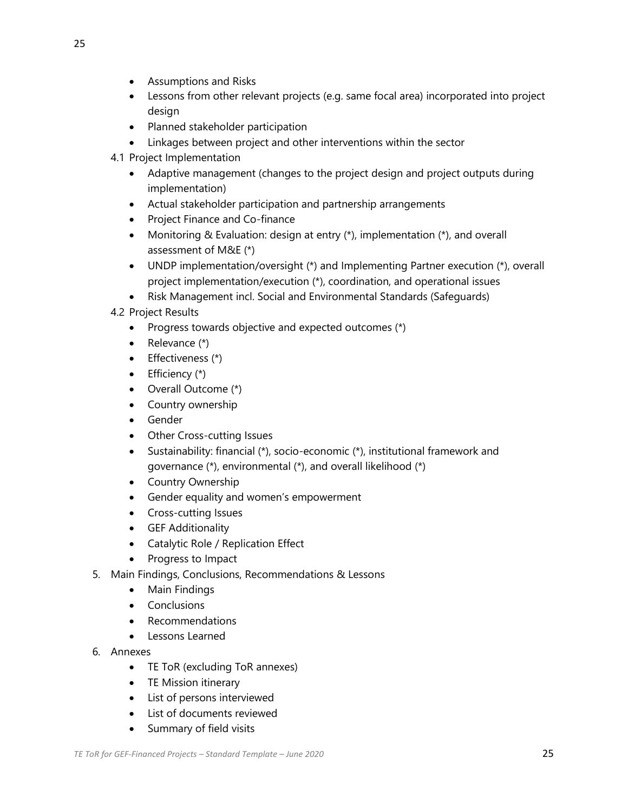- Assumptions and Risks
- Lessons from other relevant projects (e.g. same focal area) incorporated into project design
- Planned stakeholder participation
- Linkages between project and other interventions within the sector
- 4.1 Project Implementation
	- Adaptive management (changes to the project design and project outputs during implementation)
	- Actual stakeholder participation and partnership arrangements
	- Project Finance and Co-finance
	- Monitoring & Evaluation: design at entry (\*), implementation (\*), and overall assessment of M&E (\*)
	- UNDP implementation/oversight (\*) and Implementing Partner execution (\*), overall project implementation/execution (\*), coordination, and operational issues
	- Risk Management incl. Social and Environmental Standards (Safeguards)
- 4.2 Project Results
	- Progress towards objective and expected outcomes (\*)
	- Relevance (\*)
	- Effectiveness (\*)
	- Efficiency (\*)
	- Overall Outcome (\*)
	- Country ownership
	- Gender
	- Other Cross-cutting Issues
	- Sustainability: financial (\*), socio-economic (\*), institutional framework and governance (\*), environmental (\*), and overall likelihood (\*)
	- Country Ownership
	- Gender equality and women's empowerment
	- Cross-cutting Issues
	- GEF Additionality
	- Catalytic Role / Replication Effect
	- Progress to Impact
- 5. Main Findings, Conclusions, Recommendations & Lessons
	- Main Findings
	- Conclusions
	- Recommendations
	- Lessons Learned
- 6. Annexes
	- TE ToR (excluding ToR annexes)
	- TE Mission itinerary
	- List of persons interviewed
	- List of documents reviewed
	- Summary of field visits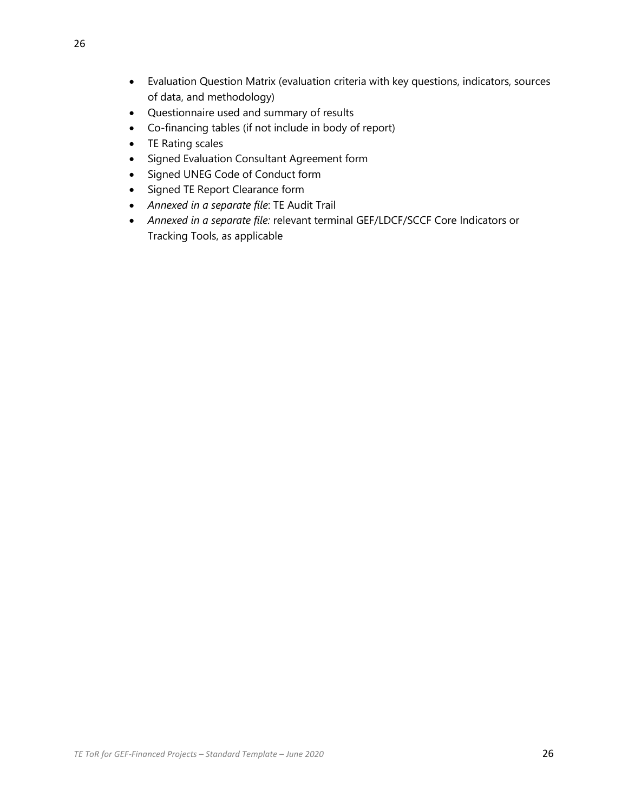- Evaluation Question Matrix (evaluation criteria with key questions, indicators, sources of data, and methodology)
- Questionnaire used and summary of results
- Co-financing tables (if not include in body of report)
- TE Rating scales
- Signed Evaluation Consultant Agreement form
- Signed UNEG Code of Conduct form
- Signed TE Report Clearance form
- *Annexed in a separate file*: TE Audit Trail
- *Annexed in a separate file:* relevant terminal GEF/LDCF/SCCF Core Indicators or Tracking Tools, as applicable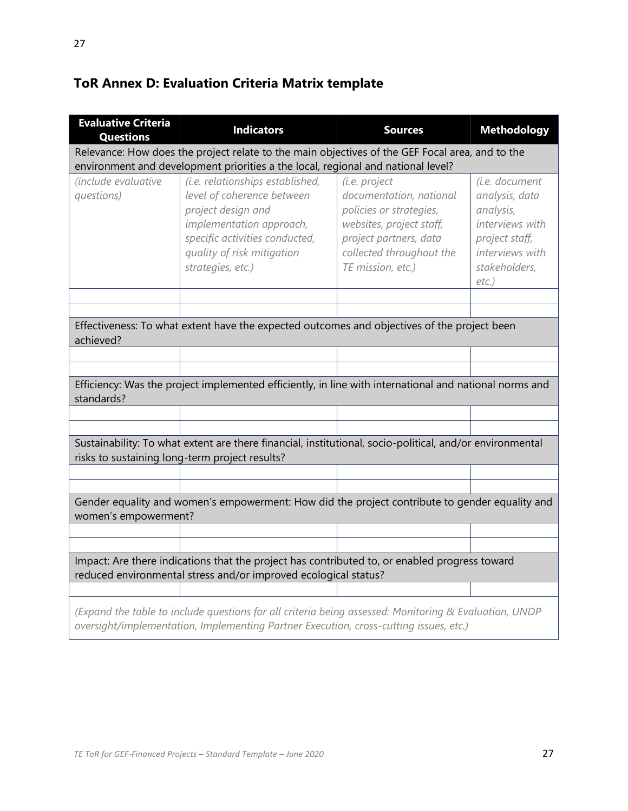| <b>Evaluative Criteria</b><br><b>Questions</b>                                                                                                                                      | <b>Indicators</b>                                                                                                                                                                                     | <b>Sources</b>                                                                                                                                                             | <b>Methodology</b>                                                                                                                 |  |  |  |
|-------------------------------------------------------------------------------------------------------------------------------------------------------------------------------------|-------------------------------------------------------------------------------------------------------------------------------------------------------------------------------------------------------|----------------------------------------------------------------------------------------------------------------------------------------------------------------------------|------------------------------------------------------------------------------------------------------------------------------------|--|--|--|
| Relevance: How does the project relate to the main objectives of the GEF Focal area, and to the<br>environment and development priorities a the local, regional and national level? |                                                                                                                                                                                                       |                                                                                                                                                                            |                                                                                                                                    |  |  |  |
| (include evaluative<br>questions)                                                                                                                                                   | (i.e. relationships established,<br>level of coherence between<br>project design and<br>implementation approach,<br>specific activities conducted,<br>quality of risk mitigation<br>strategies, etc.) | (i.e. project<br>documentation, national<br>policies or strategies,<br>websites, project staff,<br>project partners, data<br>collected throughout the<br>TE mission, etc.) | (i.e. document<br>analysis, data<br>analysis,<br>interviews with<br>project staff,<br>interviews with<br>stakeholders,<br>$etc.$ ) |  |  |  |
| achieved?                                                                                                                                                                           | Effectiveness: To what extent have the expected outcomes and objectives of the project been                                                                                                           |                                                                                                                                                                            |                                                                                                                                    |  |  |  |
|                                                                                                                                                                                     |                                                                                                                                                                                                       |                                                                                                                                                                            |                                                                                                                                    |  |  |  |
| standards?                                                                                                                                                                          | Efficiency: Was the project implemented efficiently, in line with international and national norms and                                                                                                |                                                                                                                                                                            |                                                                                                                                    |  |  |  |
|                                                                                                                                                                                     |                                                                                                                                                                                                       |                                                                                                                                                                            |                                                                                                                                    |  |  |  |
|                                                                                                                                                                                     | Sustainability: To what extent are there financial, institutional, socio-political, and/or environmental<br>risks to sustaining long-term project results?                                            |                                                                                                                                                                            |                                                                                                                                    |  |  |  |
| Gender equality and women's empowerment: How did the project contribute to gender equality and<br>women's empowerment?                                                              |                                                                                                                                                                                                       |                                                                                                                                                                            |                                                                                                                                    |  |  |  |
|                                                                                                                                                                                     |                                                                                                                                                                                                       |                                                                                                                                                                            |                                                                                                                                    |  |  |  |
|                                                                                                                                                                                     | Impact: Are there indications that the project has contributed to, or enabled progress toward<br>reduced environmental stress and/or improved ecological status?                                      |                                                                                                                                                                            |                                                                                                                                    |  |  |  |
|                                                                                                                                                                                     | (Expand the table to include questions for all criteria being assessed: Monitoring & Evaluation, UNDP<br>oversight/implementation, Implementing Partner Execution, cross-cutting issues, etc.)        |                                                                                                                                                                            |                                                                                                                                    |  |  |  |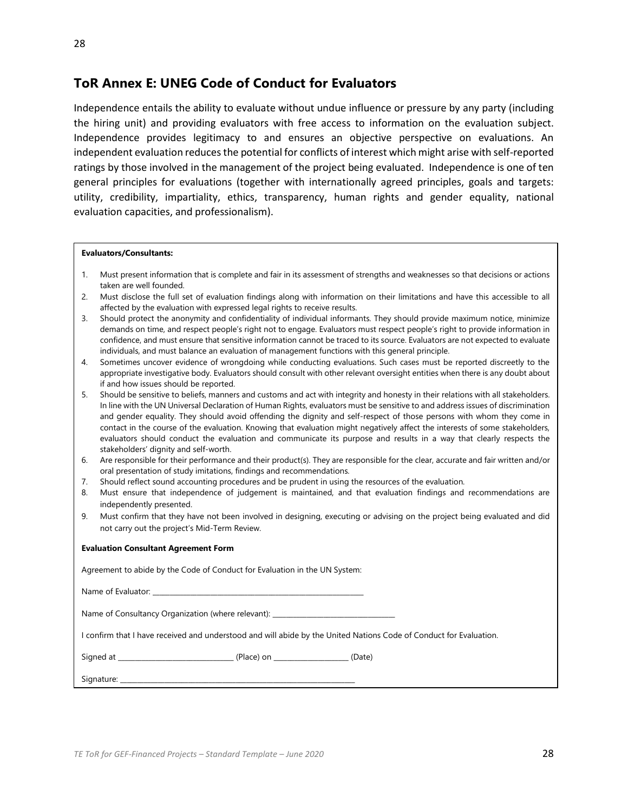#### **ToR Annex E: UNEG Code of Conduct for Evaluators**

Independence entails the ability to evaluate without undue influence or pressure by any party (including the hiring unit) and providing evaluators with free access to information on the evaluation subject. Independence provides legitimacy to and ensures an objective perspective on evaluations. An independent evaluation reduces the potential for conflicts of interest which might arise with self-reported ratings by those involved in the management of the project being evaluated. Independence is one of ten general principles for evaluations (together with internationally agreed principles, goals and targets: utility, credibility, impartiality, ethics, transparency, human rights and gender equality, national evaluation capacities, and professionalism).

#### **Evaluators/Consultants:**

- 1. Must present information that is complete and fair in its assessment of strengths and weaknesses so that decisions or actions taken are well founded.
- 2. Must disclose the full set of evaluation findings along with information on their limitations and have this accessible to all affected by the evaluation with expressed legal rights to receive results.
- 3. Should protect the anonymity and confidentiality of individual informants. They should provide maximum notice, minimize demands on time, and respect people's right not to engage. Evaluators must respect people's right to provide information in confidence, and must ensure that sensitive information cannot be traced to its source. Evaluators are not expected to evaluate individuals, and must balance an evaluation of management functions with this general principle.
- 4. Sometimes uncover evidence of wrongdoing while conducting evaluations. Such cases must be reported discreetly to the appropriate investigative body. Evaluators should consult with other relevant oversight entities when there is any doubt about if and how issues should be reported.
- 5. Should be sensitive to beliefs, manners and customs and act with integrity and honesty in their relations with all stakeholders. In line with the UN Universal Declaration of Human Rights, evaluators must be sensitive to and address issues of discrimination and gender equality. They should avoid offending the dignity and self-respect of those persons with whom they come in contact in the course of the evaluation. Knowing that evaluation might negatively affect the interests of some stakeholders, evaluators should conduct the evaluation and communicate its purpose and results in a way that clearly respects the stakeholders' dignity and self-worth.
- 6. Are responsible for their performance and their product(s). They are responsible for the clear, accurate and fair written and/or oral presentation of study imitations, findings and recommendations.
- 7. Should reflect sound accounting procedures and be prudent in using the resources of the evaluation.
- 8. Must ensure that independence of judgement is maintained, and that evaluation findings and recommendations are independently presented.
- 9. Must confirm that they have not been involved in designing, executing or advising on the project being evaluated and did not carry out the project's Mid-Term Review.

#### **Evaluation Consultant Agreement Form**

| Agreement to abide by the Code of Conduct for Evaluation in the UN System: |
|----------------------------------------------------------------------------|
|----------------------------------------------------------------------------|

| Name of Evaluator: |  |
|--------------------|--|
|                    |  |
|                    |  |
|                    |  |

Name of Consultancy Organization (where relevant):

I confirm that I have received and understood and will abide by the United Nations Code of Conduct for Evaluation.

| Signed at | $\sim$<br>ʻidl |  |
|-----------|----------------|--|
|           |                |  |

Signature: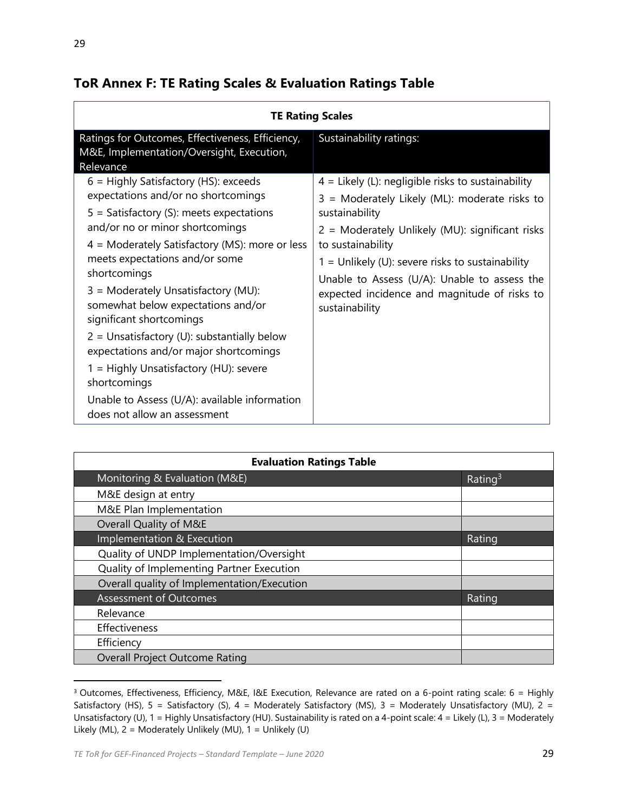## **ToR Annex F: TE Rating Scales & Evaluation Ratings Table**

| <b>TE Rating Scales</b>                                                                                                                                                                                                                                                                                                                                                                                                                                                                                                                                                                                              |                                                                                                                                                                                                                                                                                                                                                                         |  |  |  |
|----------------------------------------------------------------------------------------------------------------------------------------------------------------------------------------------------------------------------------------------------------------------------------------------------------------------------------------------------------------------------------------------------------------------------------------------------------------------------------------------------------------------------------------------------------------------------------------------------------------------|-------------------------------------------------------------------------------------------------------------------------------------------------------------------------------------------------------------------------------------------------------------------------------------------------------------------------------------------------------------------------|--|--|--|
| Ratings for Outcomes, Effectiveness, Efficiency,<br>M&E, Implementation/Oversight, Execution,<br>Relevance                                                                                                                                                                                                                                                                                                                                                                                                                                                                                                           | Sustainability ratings:                                                                                                                                                                                                                                                                                                                                                 |  |  |  |
| $6$ = Highly Satisfactory (HS): exceeds<br>expectations and/or no shortcomings<br>$5 =$ Satisfactory (S): meets expectations<br>and/or no or minor shortcomings<br>$4$ = Moderately Satisfactory (MS): more or less<br>meets expectations and/or some<br>shortcomings<br>3 = Moderately Unsatisfactory (MU):<br>somewhat below expectations and/or<br>significant shortcomings<br>$2 =$ Unsatisfactory (U): substantially below<br>expectations and/or major shortcomings<br>1 = Highly Unsatisfactory (HU): severe<br>shortcomings<br>Unable to Assess (U/A): available information<br>does not allow an assessment | $4 =$ Likely (L): negligible risks to sustainability<br>3 = Moderately Likely (ML): moderate risks to<br>sustainability<br>2 = Moderately Unlikely (MU): significant risks<br>to sustainability<br>$1 =$ Unlikely (U): severe risks to sustainability<br>Unable to Assess (U/A): Unable to assess the<br>expected incidence and magnitude of risks to<br>sustainability |  |  |  |

| <b>Evaluation Ratings Table</b>             |            |  |  |
|---------------------------------------------|------------|--|--|
| Monitoring & Evaluation (M&E)               | Rating $3$ |  |  |
| M&E design at entry                         |            |  |  |
| M&E Plan Implementation                     |            |  |  |
| Overall Quality of M&E                      |            |  |  |
| Implementation & Execution                  | Rating     |  |  |
| Quality of UNDP Implementation/Oversight    |            |  |  |
| Quality of Implementing Partner Execution   |            |  |  |
| Overall quality of Implementation/Execution |            |  |  |
| <b>Assessment of Outcomes</b>               | Rating     |  |  |
| Relevance                                   |            |  |  |
| <b>Effectiveness</b>                        |            |  |  |
| Efficiency                                  |            |  |  |
| <b>Overall Project Outcome Rating</b>       |            |  |  |

<sup>3</sup> Outcomes, Effectiveness, Efficiency, M&E, I&E Execution, Relevance are rated on a 6-point rating scale: 6 = Highly Satisfactory (HS), 5 = Satisfactory (S), 4 = Moderately Satisfactory (MS), 3 = Moderately Unsatisfactory (MU), 2 = Unsatisfactory (U), 1 = Highly Unsatisfactory (HU). Sustainability is rated on a 4-point scale: 4 = Likely (L), 3 = Moderately Likely (ML), 2 = Moderately Unlikely (MU), 1 = Unlikely (U)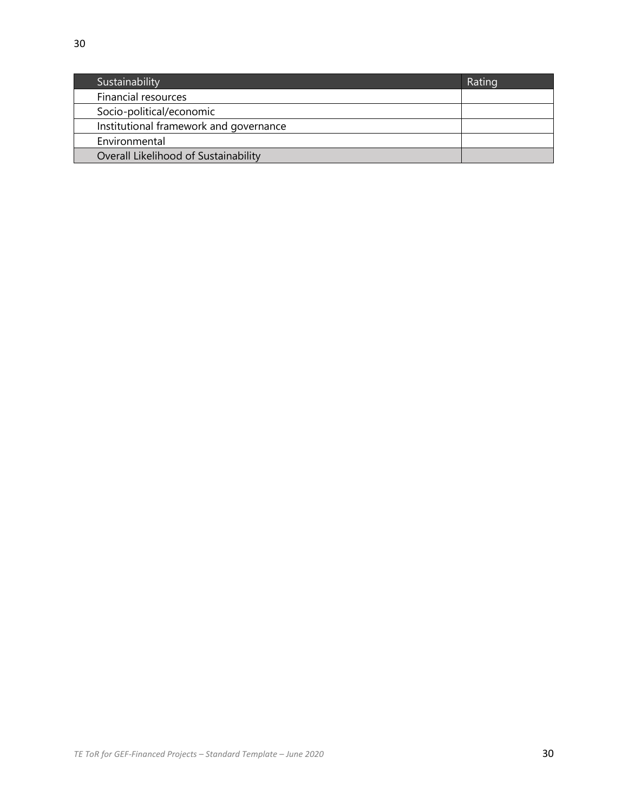| Sustainability                         | Rating |
|----------------------------------------|--------|
| Financial resources                    |        |
| Socio-political/economic               |        |
| Institutional framework and governance |        |
| Environmental                          |        |
| Overall Likelihood of Sustainability   |        |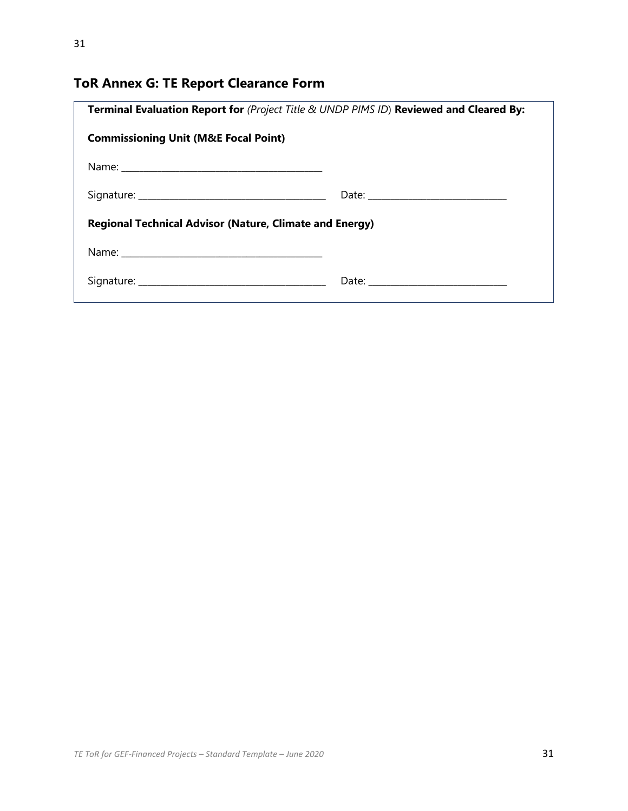# **ToR Annex G: TE Report Clearance Form**

| Terminal Evaluation Report for (Project Title & UNDP PIMS ID) Reviewed and Cleared By:                                                                                                                                        |  |  |  |  |
|-------------------------------------------------------------------------------------------------------------------------------------------------------------------------------------------------------------------------------|--|--|--|--|
| <b>Commissioning Unit (M&amp;E Focal Point)</b>                                                                                                                                                                               |  |  |  |  |
|                                                                                                                                                                                                                               |  |  |  |  |
|                                                                                                                                                                                                                               |  |  |  |  |
| <b>Regional Technical Advisor (Nature, Climate and Energy)</b>                                                                                                                                                                |  |  |  |  |
| Name: Name: Name: Name: Name: Name: Name: Name: Name: Name: Name: Name: Name: Name: Name: Name: Name: Name: Name: Name: Name: Name: Name: Name: Name: Name: Name: Name: Name: Name: Name: Name: Name: Name: Name: Name: Name: |  |  |  |  |
|                                                                                                                                                                                                                               |  |  |  |  |
|                                                                                                                                                                                                                               |  |  |  |  |